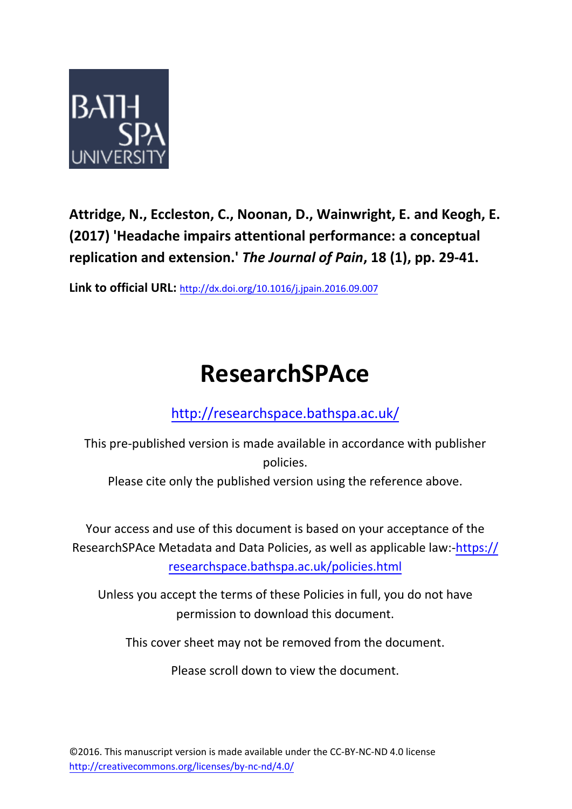

**Attridge, N., Eccleston, C., Noonan, D., Wainwright, E. and Keogh, E. (2017) 'Headache impairs attentional performance: a conceptual replication and extension.'** *The Journal of Pain***, 18 (1), pp. 29-41.**

**Link to official URL:** http://dx.doi.org/10.1016/j.jpain.2016.09.007

# **ResearchSPAce**

# http://researchspace.bathspa.ac.uk/

This pre-publis[hed version is made available in accordance](http://researchspace.bathspa.ac.uk/) with publisher policies.

Please cite only the published version using the reference above.

Your access and use of this document is based on your acceptance of the ResearchSPAce Metadata and Data Policies, as well as applicable law:-https:// researchspace.bathspa.ac.uk/policies.html

Unless you accept the terms of these Policies in full, you do not have permission to download this document.

This cover sheet may not be removed from the document.

Please scroll down to view the document.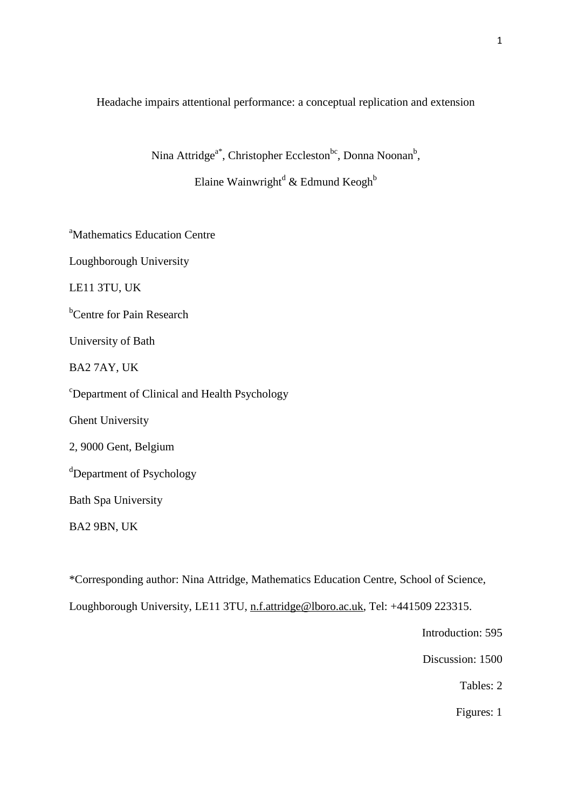Headache impairs attentional performance: a conceptual replication and extension

Nina Attridge<sup>a\*</sup>, Christopher Eccleston<sup>bc</sup>, Donna Noonan<sup>b</sup>,

Elaine Wainwright<sup>d</sup> & Edmund Keogh<sup>b</sup>

<sup>a</sup>Mathematics Education Centre

Loughborough University

LE11 3TU, UK

<sup>b</sup>Centre for Pain Research

University of Bath

BA2 7AY, UK

<sup>c</sup>Department of Clinical and Health Psychology

Ghent University

2, 9000 Gent, Belgium

<sup>d</sup>Department of Psychology

Bath Spa University

BA2 9BN, UK

\*Corresponding author: Nina Attridge, Mathematics Education Centre, School of Science,

Loughborough University, LE11 3TU, [n.f.attridge@lboro.ac.uk,](mailto:n.f.attridge@lboro.ac.uk) Tel: +441509 223315.

Introduction: 595

Discussion: 1500

Tables: 2

Figures: 1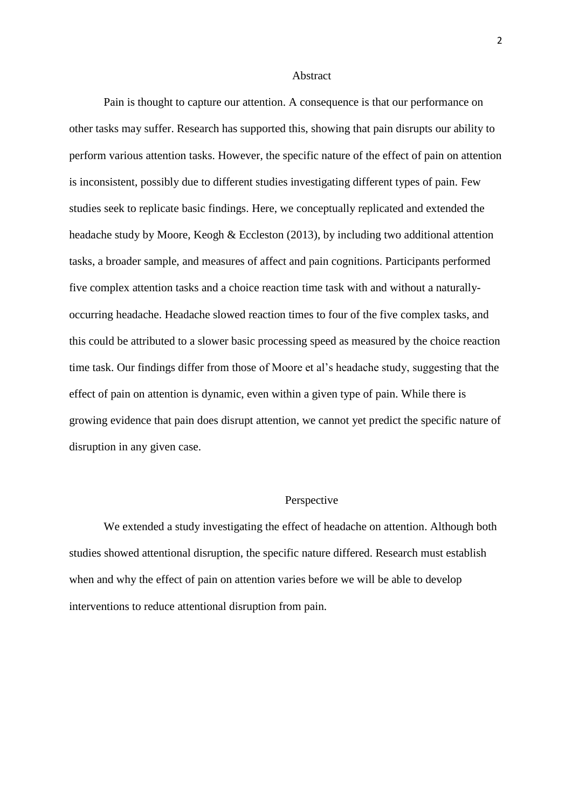#### Abstract

Pain is thought to capture our attention. A consequence is that our performance on other tasks may suffer. Research has supported this, showing that pain disrupts our ability to perform various attention tasks. However, the specific nature of the effect of pain on attention is inconsistent, possibly due to different studies investigating different types of pain. Few studies seek to replicate basic findings. Here, we conceptually replicated and extended the headache study by Moore, Keogh & Eccleston (2013), by including two additional attention tasks, a broader sample, and measures of affect and pain cognitions. Participants performed five complex attention tasks and a choice reaction time task with and without a naturallyoccurring headache. Headache slowed reaction times to four of the five complex tasks, and this could be attributed to a slower basic processing speed as measured by the choice reaction time task. Our findings differ from those of Moore et al's headache study, suggesting that the effect of pain on attention is dynamic, even within a given type of pain. While there is growing evidence that pain does disrupt attention, we cannot yet predict the specific nature of disruption in any given case.

#### Perspective

We extended a study investigating the effect of headache on attention. Although both studies showed attentional disruption, the specific nature differed. Research must establish when and why the effect of pain on attention varies before we will be able to develop interventions to reduce attentional disruption from pain.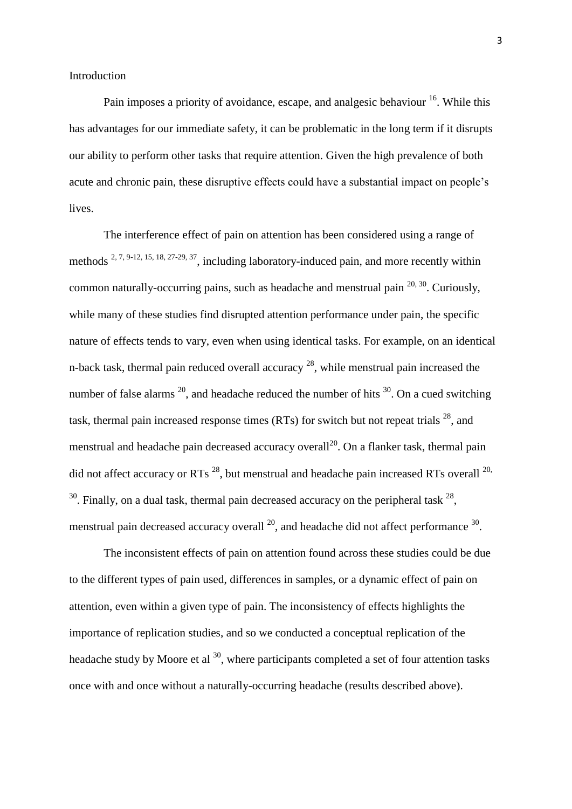Pain imposes a priority of avoidance, escape, and analgesic behaviour <sup>16</sup>. While this has advantages for our immediate safety, it can be problematic in the long term if it disrupts our ability to perform other tasks that require attention. Given the high prevalence of both acute and chronic pain, these disruptive effects could have a substantial impact on people's lives.

The interference effect of pain on attention has been considered using a range of methods <sup>2, 7, 9-12, 15, 18, 27-29, 37</sup>, including laboratory-induced pain, and more recently within common naturally-occurring pains, such as headache and menstrual pain  $20, 30$ . Curiously, while many of these studies find disrupted attention performance under pain, the specific nature of effects tends to vary, even when using identical tasks. For example, on an identical n-back task, thermal pain reduced overall accuracy <sup>28</sup>, while menstrual pain increased the number of false alarms  $^{20}$ , and headache reduced the number of hits  $^{30}$ . On a cued switching task, thermal pain increased response times (RTs) for switch but not repeat trials  $^{28}$ , and menstrual and headache pain decreased accuracy overall<sup>20</sup>. On a flanker task, thermal pain did not affect accuracy or RTs<sup>28</sup>, but menstrual and headache pain increased RTs overall  $^{20}$ ,  $30$ . Finally, on a dual task, thermal pain decreased accuracy on the peripheral task  $28$ , menstrual pain decreased accuracy overall  $^{20}$ , and headache did not affect performance  $^{30}$ .

The inconsistent effects of pain on attention found across these studies could be due to the different types of pain used, differences in samples, or a dynamic effect of pain on attention, even within a given type of pain. The inconsistency of effects highlights the importance of replication studies, and so we conducted a conceptual replication of the headache study by Moore et al  $^{30}$ , where participants completed a set of four attention tasks once with and once without a naturally-occurring headache (results described above).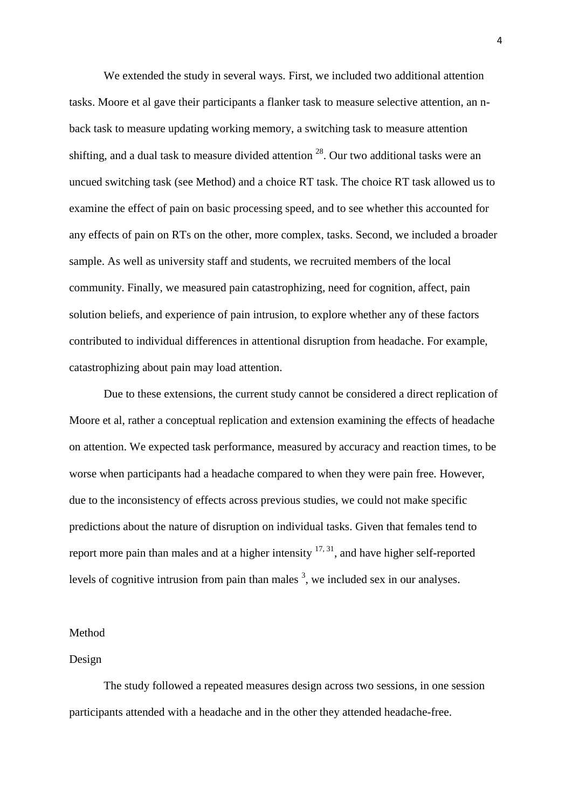We extended the study in several ways. First, we included two additional attention tasks. Moore et al gave their participants a flanker task to measure selective attention, an nback task to measure updating working memory, a switching task to measure attention shifting, and a dual task to measure divided attention  $^{28}$ . Our two additional tasks were an uncued switching task (see Method) and a choice RT task. The choice RT task allowed us to examine the effect of pain on basic processing speed, and to see whether this accounted for any effects of pain on RTs on the other, more complex, tasks. Second, we included a broader sample. As well as university staff and students, we recruited members of the local community. Finally, we measured pain catastrophizing, need for cognition, affect, pain solution beliefs, and experience of pain intrusion, to explore whether any of these factors contributed to individual differences in attentional disruption from headache. For example, catastrophizing about pain may load attention.

Due to these extensions, the current study cannot be considered a direct replication of Moore et al, rather a conceptual replication and extension examining the effects of headache on attention. We expected task performance, measured by accuracy and reaction times, to be worse when participants had a headache compared to when they were pain free. However, due to the inconsistency of effects across previous studies, we could not make specific predictions about the nature of disruption on individual tasks. Given that females tend to report more pain than males and at a higher intensity  $17, 31$ , and have higher self-reported levels of cognitive intrusion from pain than males  $3$ , we included sex in our analyses.

#### Method

#### Design

The study followed a repeated measures design across two sessions, in one session participants attended with a headache and in the other they attended headache-free.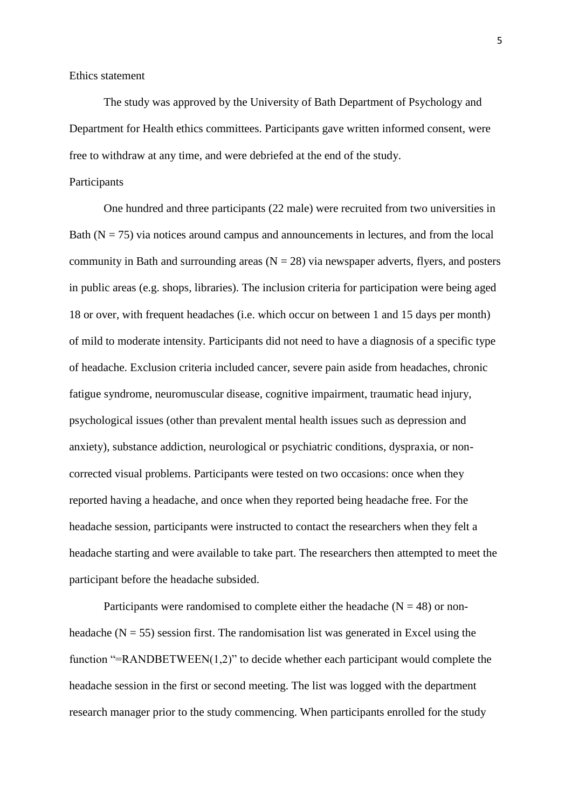Ethics statement

The study was approved by the University of Bath Department of Psychology and Department for Health ethics committees. Participants gave written informed consent, were free to withdraw at any time, and were debriefed at the end of the study.

#### Participants

One hundred and three participants (22 male) were recruited from two universities in Bath  $(N = 75)$  via notices around campus and announcements in lectures, and from the local community in Bath and surrounding areas  $(N = 28)$  via newspaper adverts, flyers, and posters in public areas (e.g. shops, libraries). The inclusion criteria for participation were being aged 18 or over, with frequent headaches (i.e. which occur on between 1 and 15 days per month) of mild to moderate intensity. Participants did not need to have a diagnosis of a specific type of headache. Exclusion criteria included cancer, severe pain aside from headaches, chronic fatigue syndrome, neuromuscular disease, cognitive impairment, traumatic head injury, psychological issues (other than prevalent mental health issues such as depression and anxiety), substance addiction, neurological or psychiatric conditions, dyspraxia, or noncorrected visual problems. Participants were tested on two occasions: once when they reported having a headache, and once when they reported being headache free. For the headache session, participants were instructed to contact the researchers when they felt a headache starting and were available to take part. The researchers then attempted to meet the participant before the headache subsided.

Participants were randomised to complete either the headache ( $N = 48$ ) or nonheadache ( $N = 55$ ) session first. The randomisation list was generated in Excel using the function "=RANDBETWEEN(1,2)" to decide whether each participant would complete the headache session in the first or second meeting. The list was logged with the department research manager prior to the study commencing. When participants enrolled for the study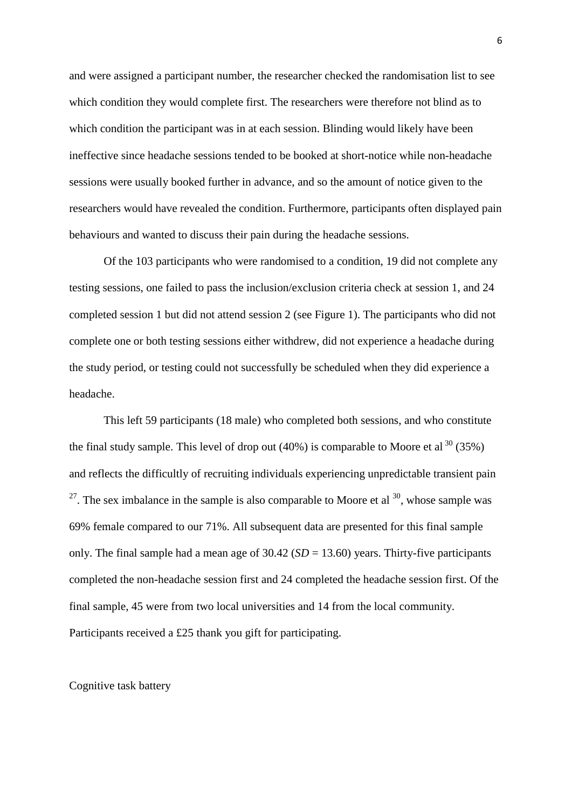and were assigned a participant number, the researcher checked the randomisation list to see which condition they would complete first. The researchers were therefore not blind as to which condition the participant was in at each session. Blinding would likely have been ineffective since headache sessions tended to be booked at short-notice while non-headache sessions were usually booked further in advance, and so the amount of notice given to the researchers would have revealed the condition. Furthermore, participants often displayed pain behaviours and wanted to discuss their pain during the headache sessions.

Of the 103 participants who were randomised to a condition, 19 did not complete any testing sessions, one failed to pass the inclusion/exclusion criteria check at session 1, and 24 completed session 1 but did not attend session 2 (see Figure 1). The participants who did not complete one or both testing sessions either withdrew, did not experience a headache during the study period, or testing could not successfully be scheduled when they did experience a headache.

This left 59 participants (18 male) who completed both sessions, and who constitute the final study sample. This level of drop out  $(40%)$  is comparable to Moore et al <sup>30</sup> (35%) and reflects the difficultly of recruiting individuals experiencing unpredictable transient pain  $2^7$ . The sex imbalance in the sample is also comparable to Moore et al  $30$ , whose sample was 69% female compared to our 71%. All subsequent data are presented for this final sample only. The final sample had a mean age of 30.42 (*SD* = 13.60) years. Thirty-five participants completed the non-headache session first and 24 completed the headache session first. Of the final sample, 45 were from two local universities and 14 from the local community. Participants received a £25 thank you gift for participating.

#### Cognitive task battery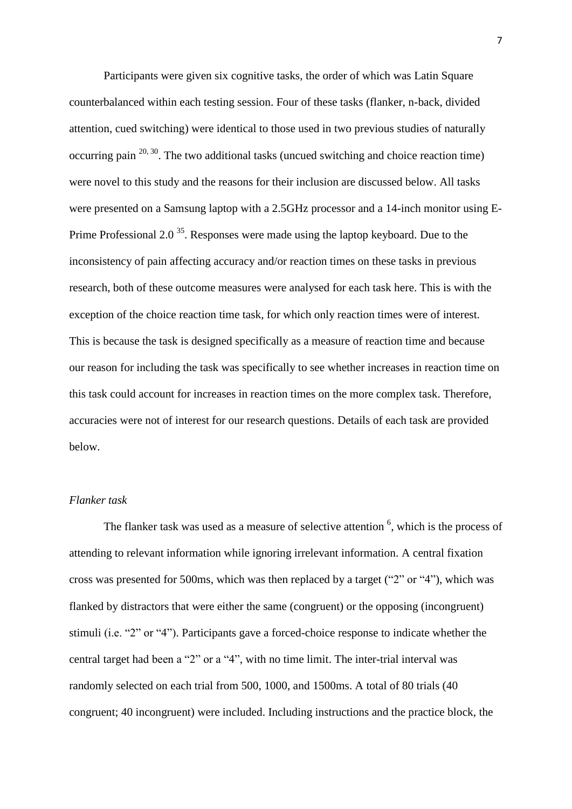Participants were given six cognitive tasks, the order of which was Latin Square counterbalanced within each testing session. Four of these tasks (flanker, n-back, divided attention, cued switching) were identical to those used in two previous studies of naturally occurring pain  $20, 30$ . The two additional tasks (uncued switching and choice reaction time) were novel to this study and the reasons for their inclusion are discussed below. All tasks were presented on a Samsung laptop with a 2.5GHz processor and a 14-inch monitor using E-Prime Professional 2.0<sup>35</sup>. Responses were made using the laptop keyboard. Due to the inconsistency of pain affecting accuracy and/or reaction times on these tasks in previous research, both of these outcome measures were analysed for each task here. This is with the exception of the choice reaction time task, for which only reaction times were of interest. This is because the task is designed specifically as a measure of reaction time and because our reason for including the task was specifically to see whether increases in reaction time on this task could account for increases in reaction times on the more complex task. Therefore, accuracies were not of interest for our research questions. Details of each task are provided below.

# *Flanker task*

The flanker task was used as a measure of selective attention  $<sup>6</sup>$ , which is the process of</sup> attending to relevant information while ignoring irrelevant information. A central fixation cross was presented for 500ms, which was then replaced by a target ("2" or "4"), which was flanked by distractors that were either the same (congruent) or the opposing (incongruent) stimuli (i.e. "2" or "4"). Participants gave a forced-choice response to indicate whether the central target had been a "2" or a "4", with no time limit. The inter-trial interval was randomly selected on each trial from 500, 1000, and 1500ms. A total of 80 trials (40 congruent; 40 incongruent) were included. Including instructions and the practice block, the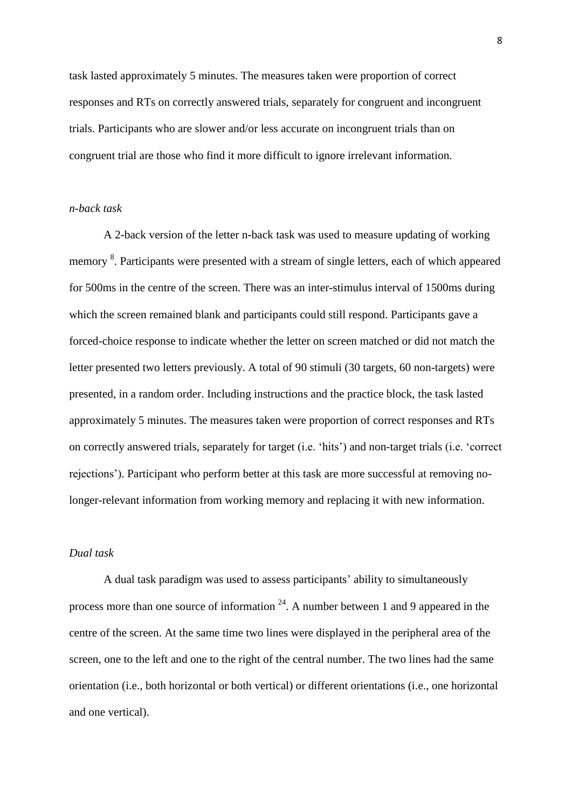task lasted approximately 5 minutes. The measures taken were proportion of correct responses and RTs on correctly answered trials, separately for congruent and incongruent trials. Participants who are slower and/or less accurate on incongruent trials than on congruent trial are those who find it more difficult to ignore irrelevant information.

## *n-back task*

A 2-back version of the letter n-back task was used to measure updating of working memory <sup>8</sup>. Participants were presented with a stream of single letters, each of which appeared for 500ms in the centre of the screen. There was an inter-stimulus interval of 1500ms during which the screen remained blank and participants could still respond. Participants gave a forced-choice response to indicate whether the letter on screen matched or did not match the letter presented two letters previously. A total of 90 stimuli (30 targets, 60 non-targets) were presented, in a random order. Including instructions and the practice block, the task lasted approximately 5 minutes. The measures taken were proportion of correct responses and RTs on correctly answered trials, separately for target (i.e. 'hits') and non-target trials (i.e. 'correct rejections'). Participant who perform better at this task are more successful at removing nolonger-relevant information from working memory and replacing it with new information.

#### *Dual task*

A dual task paradigm was used to assess participants' ability to simultaneously process more than one source of information  $24$ . A number between 1 and 9 appeared in the centre of the screen. At the same time two lines were displayed in the peripheral area of the screen, one to the left and one to the right of the central number. The two lines had the same orientation (i.e., both horizontal or both vertical) or different orientations (i.e., one horizontal and one vertical).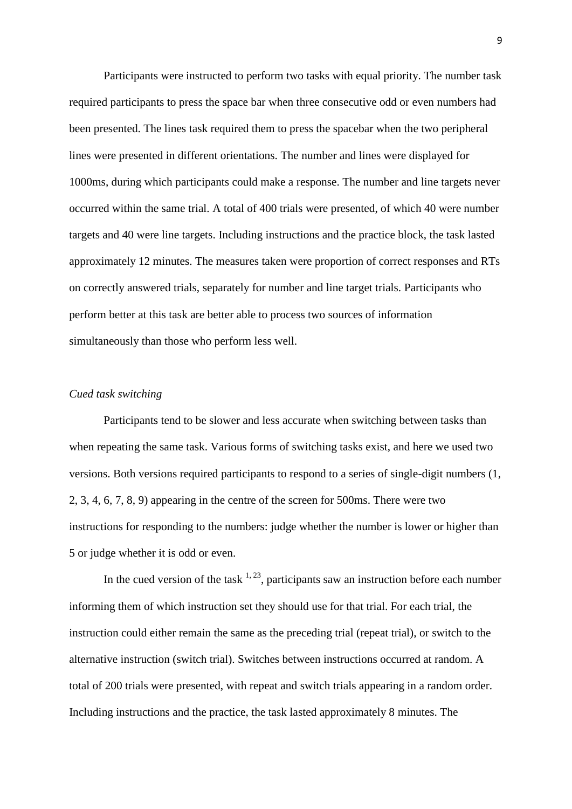Participants were instructed to perform two tasks with equal priority. The number task required participants to press the space bar when three consecutive odd or even numbers had been presented. The lines task required them to press the spacebar when the two peripheral lines were presented in different orientations. The number and lines were displayed for 1000ms, during which participants could make a response. The number and line targets never occurred within the same trial. A total of 400 trials were presented, of which 40 were number targets and 40 were line targets. Including instructions and the practice block, the task lasted approximately 12 minutes. The measures taken were proportion of correct responses and RTs on correctly answered trials, separately for number and line target trials. Participants who perform better at this task are better able to process two sources of information simultaneously than those who perform less well.

### *Cued task switching*

Participants tend to be slower and less accurate when switching between tasks than when repeating the same task. Various forms of switching tasks exist, and here we used two versions. Both versions required participants to respond to a series of single-digit numbers (1, 2, 3, 4, 6, 7, 8, 9) appearing in the centre of the screen for 500ms. There were two instructions for responding to the numbers: judge whether the number is lower or higher than 5 or judge whether it is odd or even.

In the cued version of the task  $1, 23$ , participants saw an instruction before each number informing them of which instruction set they should use for that trial. For each trial, the instruction could either remain the same as the preceding trial (repeat trial), or switch to the alternative instruction (switch trial). Switches between instructions occurred at random. A total of 200 trials were presented, with repeat and switch trials appearing in a random order. Including instructions and the practice, the task lasted approximately 8 minutes. The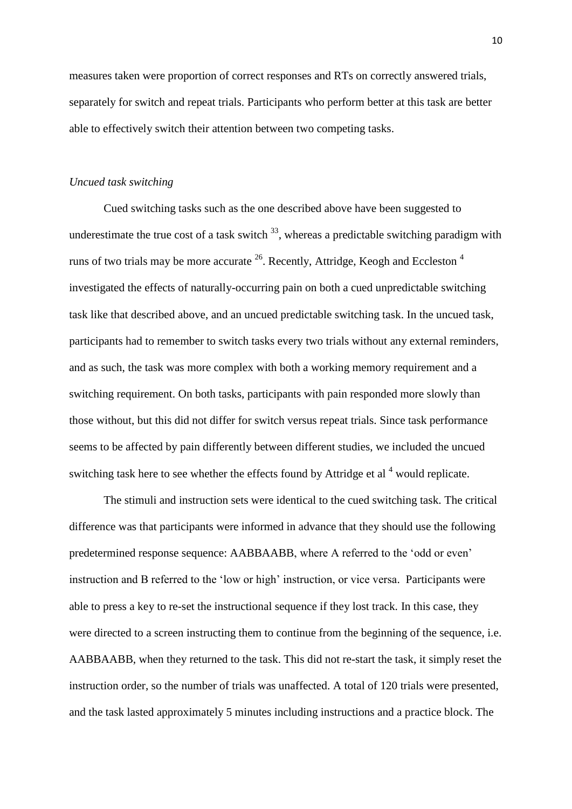measures taken were proportion of correct responses and RTs on correctly answered trials, separately for switch and repeat trials. Participants who perform better at this task are better able to effectively switch their attention between two competing tasks.

#### *Uncued task switching*

Cued switching tasks such as the one described above have been suggested to underestimate the true cost of a task switch  $^{33}$ , whereas a predictable switching paradigm with runs of two trials may be more accurate  $^{26}$ . Recently, Attridge, Keogh and Eccleston  $^{4}$ investigated the effects of naturally-occurring pain on both a cued unpredictable switching task like that described above, and an uncued predictable switching task. In the uncued task, participants had to remember to switch tasks every two trials without any external reminders, and as such, the task was more complex with both a working memory requirement and a switching requirement. On both tasks, participants with pain responded more slowly than those without, but this did not differ for switch versus repeat trials. Since task performance seems to be affected by pain differently between different studies, we included the uncued switching task here to see whether the effects found by Attridge et al<sup>4</sup> would replicate.

The stimuli and instruction sets were identical to the cued switching task. The critical difference was that participants were informed in advance that they should use the following predetermined response sequence: AABBAABB, where A referred to the 'odd or even' instruction and B referred to the 'low or high' instruction, or vice versa. Participants were able to press a key to re-set the instructional sequence if they lost track. In this case, they were directed to a screen instructing them to continue from the beginning of the sequence, i.e. AABBAABB, when they returned to the task. This did not re-start the task, it simply reset the instruction order, so the number of trials was unaffected. A total of 120 trials were presented, and the task lasted approximately 5 minutes including instructions and a practice block. The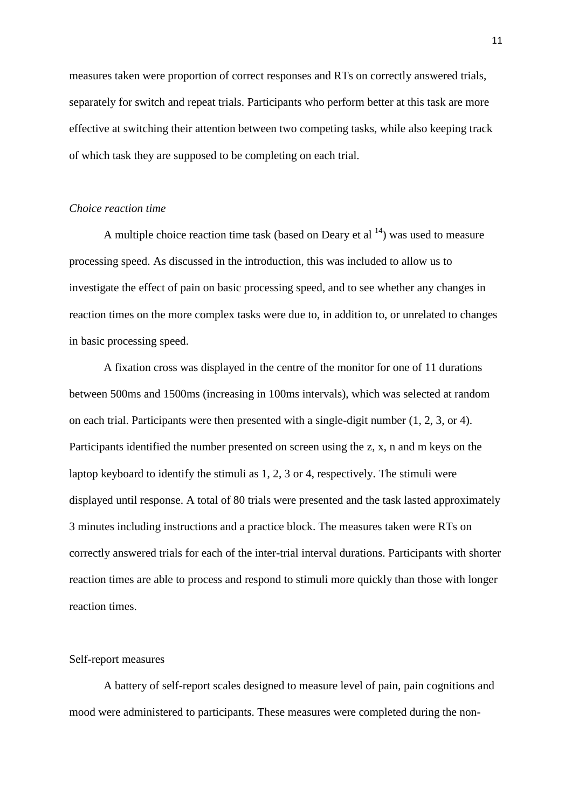measures taken were proportion of correct responses and RTs on correctly answered trials, separately for switch and repeat trials. Participants who perform better at this task are more effective at switching their attention between two competing tasks, while also keeping track of which task they are supposed to be completing on each trial.

#### *Choice reaction time*

A multiple choice reaction time task (based on Deary et al  $14$ ) was used to measure processing speed. As discussed in the introduction, this was included to allow us to investigate the effect of pain on basic processing speed, and to see whether any changes in reaction times on the more complex tasks were due to, in addition to, or unrelated to changes in basic processing speed.

A fixation cross was displayed in the centre of the monitor for one of 11 durations between 500ms and 1500ms (increasing in 100ms intervals), which was selected at random on each trial. Participants were then presented with a single-digit number (1, 2, 3, or 4). Participants identified the number presented on screen using the z, x, n and m keys on the laptop keyboard to identify the stimuli as 1, 2, 3 or 4, respectively. The stimuli were displayed until response. A total of 80 trials were presented and the task lasted approximately 3 minutes including instructions and a practice block. The measures taken were RTs on correctly answered trials for each of the inter-trial interval durations. Participants with shorter reaction times are able to process and respond to stimuli more quickly than those with longer reaction times.

#### Self-report measures

A battery of self-report scales designed to measure level of pain, pain cognitions and mood were administered to participants. These measures were completed during the non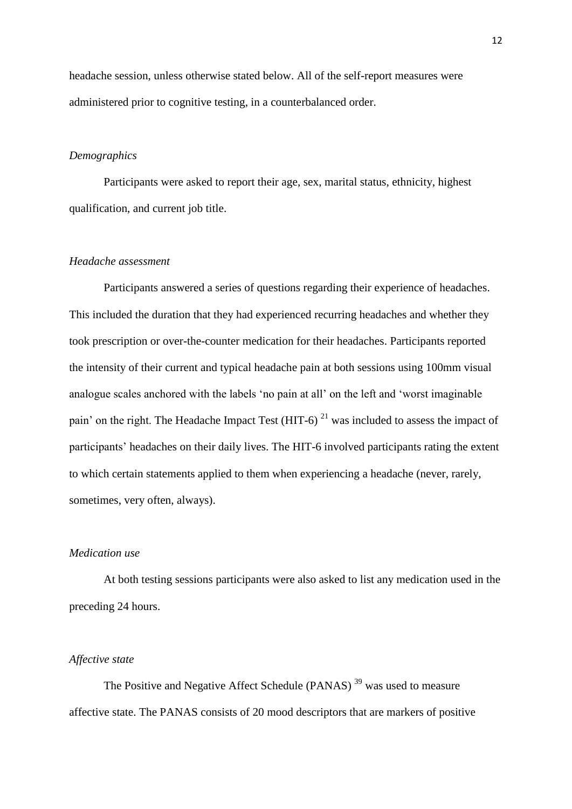headache session, unless otherwise stated below. All of the self-report measures were administered prior to cognitive testing, in a counterbalanced order.

## *Demographics*

Participants were asked to report their age, sex, marital status, ethnicity, highest qualification, and current job title.

#### *Headache assessment*

Participants answered a series of questions regarding their experience of headaches. This included the duration that they had experienced recurring headaches and whether they took prescription or over-the-counter medication for their headaches. Participants reported the intensity of their current and typical headache pain at both sessions using 100mm visual analogue scales anchored with the labels 'no pain at all' on the left and 'worst imaginable pain' on the right. The Headache Impact Test (HIT-6)<sup>21</sup> was included to assess the impact of participants' headaches on their daily lives. The HIT-6 involved participants rating the extent to which certain statements applied to them when experiencing a headache (never, rarely, sometimes, very often, always).

#### *Medication use*

At both testing sessions participants were also asked to list any medication used in the preceding 24 hours.

#### *Affective state*

The Positive and Negative Affect Schedule (PANAS)<sup>39</sup> was used to measure affective state. The PANAS consists of 20 mood descriptors that are markers of positive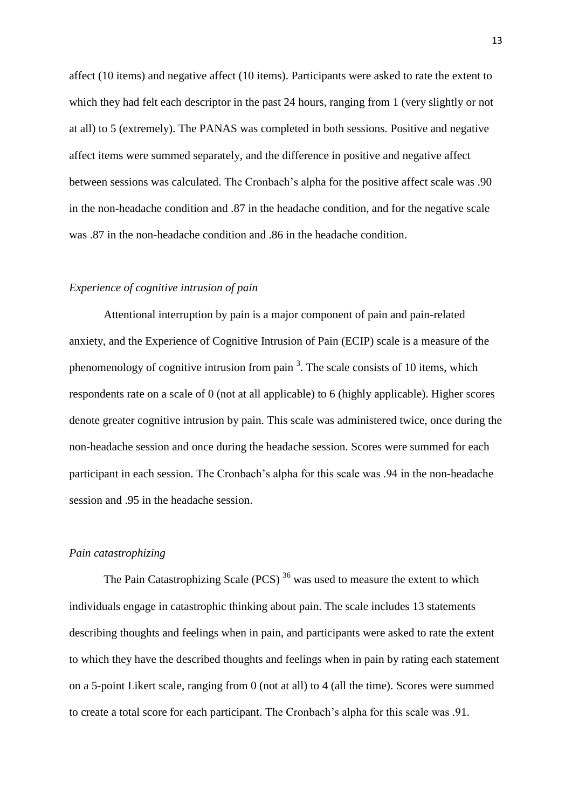affect (10 items) and negative affect (10 items). Participants were asked to rate the extent to which they had felt each descriptor in the past 24 hours, ranging from 1 (very slightly or not at all) to 5 (extremely). The PANAS was completed in both sessions. Positive and negative affect items were summed separately, and the difference in positive and negative affect between sessions was calculated. The Cronbach's alpha for the positive affect scale was .90 in the non-headache condition and .87 in the headache condition, and for the negative scale was .87 in the non-headache condition and .86 in the headache condition.

#### *Experience of cognitive intrusion of pain*

Attentional interruption by pain is a major component of pain and pain-related anxiety, and the Experience of Cognitive Intrusion of Pain (ECIP) scale is a measure of the phenomenology of cognitive intrusion from pain  $3$ . The scale consists of 10 items, which respondents rate on a scale of 0 (not at all applicable) to 6 (highly applicable). Higher scores denote greater cognitive intrusion by pain. This scale was administered twice, once during the non-headache session and once during the headache session. Scores were summed for each participant in each session. The Cronbach's alpha for this scale was .94 in the non-headache session and .95 in the headache session.

#### *Pain catastrophizing*

The Pain Catastrophizing Scale (PCS)<sup>36</sup> was used to measure the extent to which individuals engage in catastrophic thinking about pain. The scale includes 13 statements describing thoughts and feelings when in pain, and participants were asked to rate the extent to which they have the described thoughts and feelings when in pain by rating each statement on a 5-point Likert scale, ranging from 0 (not at all) to 4 (all the time). Scores were summed to create a total score for each participant. The Cronbach's alpha for this scale was .91.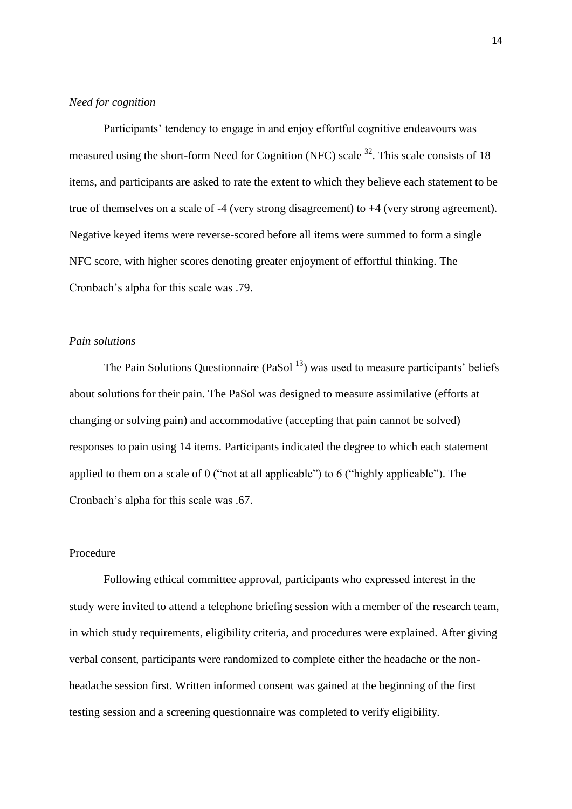#### *Need for cognition*

Participants' tendency to engage in and enjoy effortful cognitive endeavours was measured using the short-form Need for Cognition (NFC) scale  $32$ . This scale consists of 18 items, and participants are asked to rate the extent to which they believe each statement to be true of themselves on a scale of -4 (very strong disagreement) to +4 (very strong agreement). Negative keyed items were reverse-scored before all items were summed to form a single NFC score, with higher scores denoting greater enjoyment of effortful thinking. The Cronbach's alpha for this scale was .79.

# *Pain solutions*

The Pain Solutions Questionnaire (PaSol  $<sup>13</sup>$ ) was used to measure participants' beliefs</sup> about solutions for their pain. The PaSol was designed to measure assimilative (efforts at changing or solving pain) and accommodative (accepting that pain cannot be solved) responses to pain using 14 items. Participants indicated the degree to which each statement applied to them on a scale of 0 ("not at all applicable") to 6 ("highly applicable"). The Cronbach's alpha for this scale was .67.

#### Procedure

Following ethical committee approval, participants who expressed interest in the study were invited to attend a telephone briefing session with a member of the research team, in which study requirements, eligibility criteria, and procedures were explained. After giving verbal consent, participants were randomized to complete either the headache or the nonheadache session first. Written informed consent was gained at the beginning of the first testing session and a screening questionnaire was completed to verify eligibility.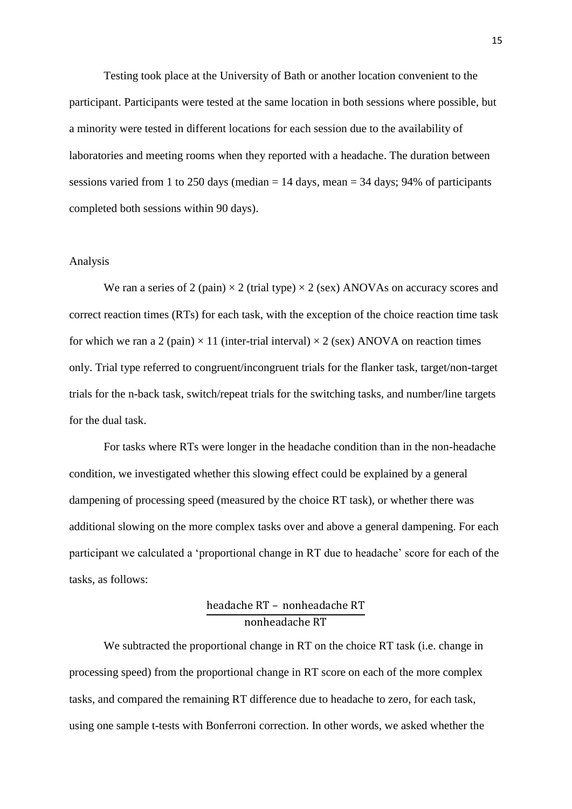Testing took place at the University of Bath or another location convenient to the participant. Participants were tested at the same location in both sessions where possible, but a minority were tested in different locations for each session due to the availability of laboratories and meeting rooms when they reported with a headache. The duration between sessions varied from 1 to 250 days (median  $= 14$  days, mean  $= 34$  days; 94% of participants completed both sessions within 90 days).

#### Analysis

We ran a series of 2 (pain)  $\times$  2 (trial type)  $\times$  2 (sex) ANOVAs on accuracy scores and correct reaction times (RTs) for each task, with the exception of the choice reaction time task for which we ran a 2 (pain)  $\times$  11 (inter-trial interval)  $\times$  2 (sex) ANOVA on reaction times only. Trial type referred to congruent/incongruent trials for the flanker task, target/non-target trials for the n-back task, switch/repeat trials for the switching tasks, and number/line targets for the dual task.

For tasks where RTs were longer in the headache condition than in the non-headache condition, we investigated whether this slowing effect could be explained by a general dampening of processing speed (measured by the choice RT task), or whether there was additional slowing on the more complex tasks over and above a general dampening. For each participant we calculated a 'proportional change in RT due to headache' score for each of the tasks, as follows:

# headache RT – nonheadache RT nonheadache RT

We subtracted the proportional change in RT on the choice RT task (i.e. change in processing speed) from the proportional change in RT score on each of the more complex tasks, and compared the remaining RT difference due to headache to zero, for each task, using one sample t-tests with Bonferroni correction. In other words, we asked whether the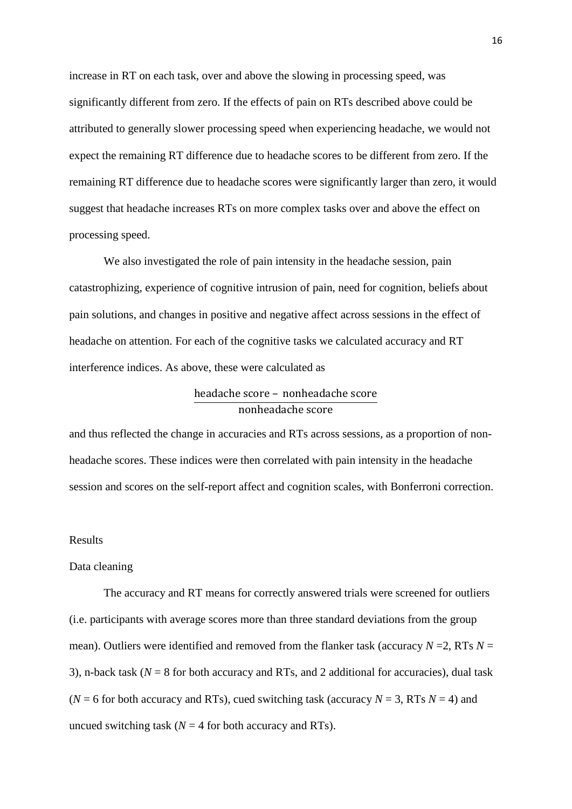increase in RT on each task, over and above the slowing in processing speed, was significantly different from zero. If the effects of pain on RTs described above could be attributed to generally slower processing speed when experiencing headache, we would not expect the remaining RT difference due to headache scores to be different from zero. If the remaining RT difference due to headache scores were significantly larger than zero, it would suggest that headache increases RTs on more complex tasks over and above the effect on processing speed.

We also investigated the role of pain intensity in the headache session, pain catastrophizing, experience of cognitive intrusion of pain, need for cognition, beliefs about pain solutions, and changes in positive and negative affect across sessions in the effect of headache on attention. For each of the cognitive tasks we calculated accuracy and RT interference indices. As above, these were calculated as

# headache score – nonheadache score nonheadache score

and thus reflected the change in accuracies and RTs across sessions, as a proportion of nonheadache scores. These indices were then correlated with pain intensity in the headache session and scores on the self-report affect and cognition scales, with Bonferroni correction.

#### Results

#### Data cleaning

The accuracy and RT means for correctly answered trials were screened for outliers (i.e. participants with average scores more than three standard deviations from the group mean). Outliers were identified and removed from the flanker task (accuracy  $N = 2$ , RTs  $N =$ 3), n-back task (*N* = 8 for both accuracy and RTs, and 2 additional for accuracies), dual task ( $N = 6$  for both accuracy and RTs), cued switching task (accuracy  $N = 3$ , RTs  $N = 4$ ) and uncued switching task  $(N = 4$  for both accuracy and RTs).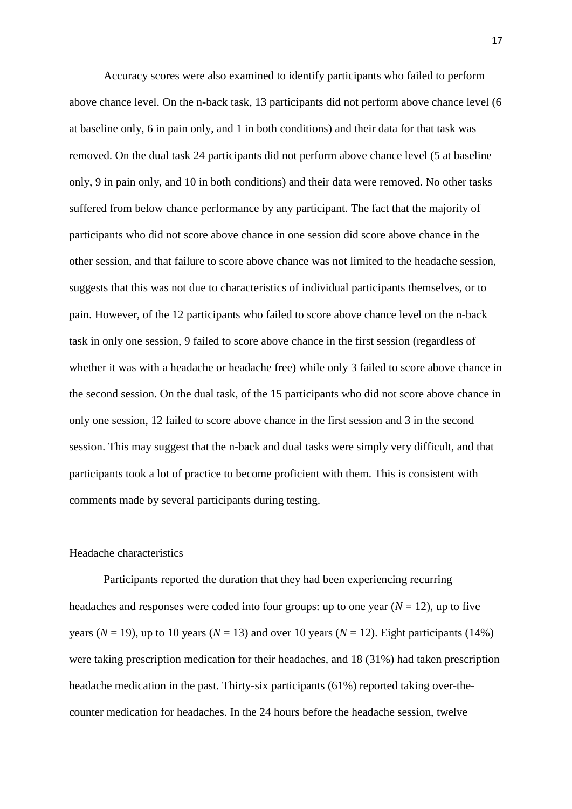Accuracy scores were also examined to identify participants who failed to perform above chance level. On the n-back task, 13 participants did not perform above chance level (6 at baseline only, 6 in pain only, and 1 in both conditions) and their data for that task was removed. On the dual task 24 participants did not perform above chance level (5 at baseline only, 9 in pain only, and 10 in both conditions) and their data were removed. No other tasks suffered from below chance performance by any participant. The fact that the majority of participants who did not score above chance in one session did score above chance in the other session, and that failure to score above chance was not limited to the headache session, suggests that this was not due to characteristics of individual participants themselves, or to pain. However, of the 12 participants who failed to score above chance level on the n-back task in only one session, 9 failed to score above chance in the first session (regardless of whether it was with a headache or headache free) while only 3 failed to score above chance in the second session. On the dual task, of the 15 participants who did not score above chance in only one session, 12 failed to score above chance in the first session and 3 in the second session. This may suggest that the n-back and dual tasks were simply very difficult, and that participants took a lot of practice to become proficient with them. This is consistent with comments made by several participants during testing.

#### Headache characteristics

Participants reported the duration that they had been experiencing recurring headaches and responses were coded into four groups: up to one year  $(N = 12)$ , up to five years ( $N = 19$ ), up to 10 years ( $N = 13$ ) and over 10 years ( $N = 12$ ). Eight participants (14%) were taking prescription medication for their headaches, and 18 (31%) had taken prescription headache medication in the past. Thirty-six participants (61%) reported taking over-thecounter medication for headaches. In the 24 hours before the headache session, twelve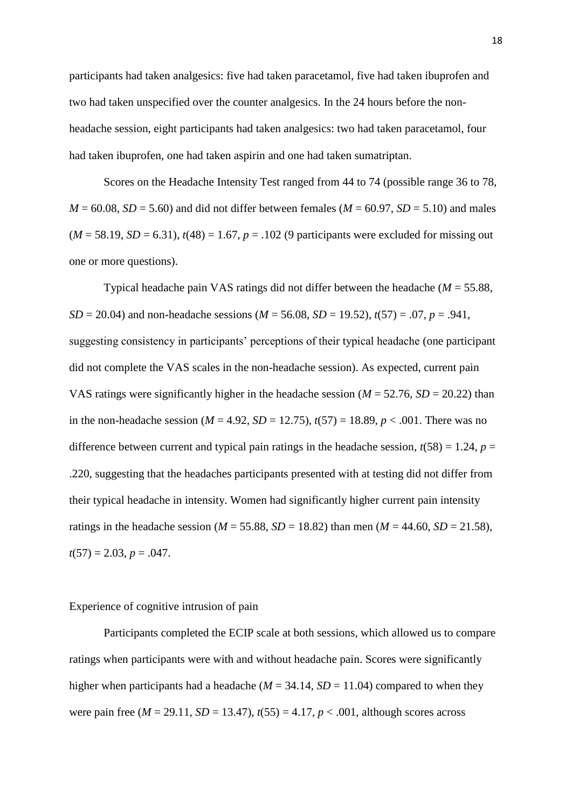participants had taken analgesics: five had taken paracetamol, five had taken ibuprofen and two had taken unspecified over the counter analgesics. In the 24 hours before the nonheadache session, eight participants had taken analgesics: two had taken paracetamol, four had taken ibuprofen, one had taken aspirin and one had taken sumatriptan.

Scores on the Headache Intensity Test ranged from 44 to 74 (possible range 36 to 78,  $M = 60.08$ ,  $SD = 5.60$ ) and did not differ between females ( $M = 60.97$ ,  $SD = 5.10$ ) and males  $(M = 58.19, SD = 6.31), t(48) = 1.67, p = .102$  (9 participants were excluded for missing out one or more questions).

Typical headache pain VAS ratings did not differ between the headache (*M* = 55.88, *SD* = 20.04) and non-headache sessions ( $M = 56.08$ , *SD* = 19.52),  $t(57) = .07$ ,  $p = .941$ , suggesting consistency in participants' perceptions of their typical headache (one participant did not complete the VAS scales in the non-headache session). As expected, current pain VAS ratings were significantly higher in the headache session ( $M = 52.76$ ,  $SD = 20.22$ ) than in the non-headache session ( $M = 4.92$ ,  $SD = 12.75$ ),  $t(57) = 18.89$ ,  $p < .001$ . There was no difference between current and typical pain ratings in the headache session,  $t(58) = 1.24$ ,  $p =$ .220, suggesting that the headaches participants presented with at testing did not differ from their typical headache in intensity. Women had significantly higher current pain intensity ratings in the headache session ( $M = 55.88$ ,  $SD = 18.82$ ) than men ( $M = 44.60$ ,  $SD = 21.58$ ),  $t(57) = 2.03, p = .047.$ 

#### Experience of cognitive intrusion of pain

Participants completed the ECIP scale at both sessions, which allowed us to compare ratings when participants were with and without headache pain. Scores were significantly higher when participants had a headache ( $M = 34.14$ ,  $SD = 11.04$ ) compared to when they were pain free  $(M = 29.11, SD = 13.47)$ ,  $t(55) = 4.17, p < .001$ , although scores across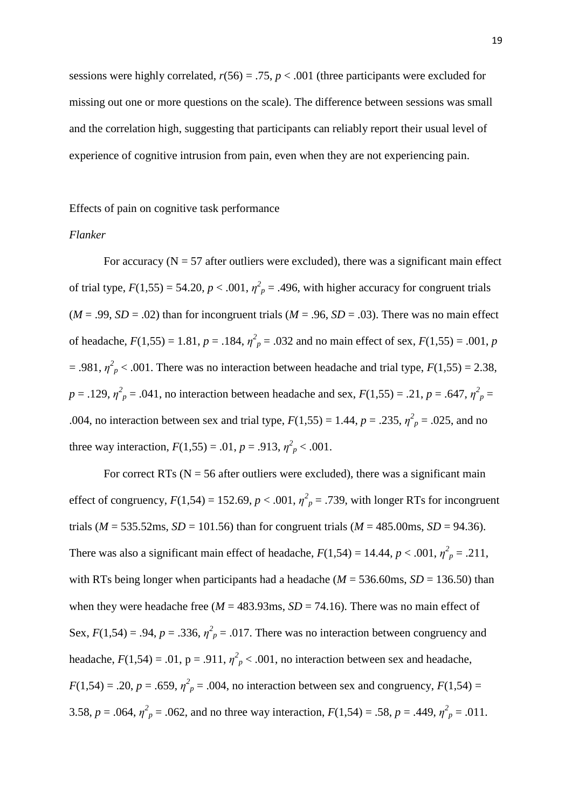sessions were highly correlated,  $r(56) = .75$ ,  $p < .001$  (three participants were excluded for missing out one or more questions on the scale). The difference between sessions was small and the correlation high, suggesting that participants can reliably report their usual level of experience of cognitive intrusion from pain, even when they are not experiencing pain.

Effects of pain on cognitive task performance

#### *Flanker*

For accuracy ( $N = 57$  after outliers were excluded), there was a significant main effect of trial type,  $F(1,55) = 54.20$ ,  $p < .001$ ,  $\eta^2 p = .496$ , with higher accuracy for congruent trials  $(M = .99, SD = .02)$  than for incongruent trials  $(M = .96, SD = .03)$ . There was no main effect of headache,  $F(1,55) = 1.81$ ,  $p = .184$ ,  $\eta^2 p = .032$  and no main effect of sex,  $F(1,55) = .001$ ,  $p$  $= .981, \eta^2_{p} < .001$ . There was no interaction between headache and trial type,  $F(1,55) = 2.38$ ,  $p = .129$ ,  $\eta^2_p = .041$ , no interaction between headache and sex,  $F(1,55) = .21$ ,  $p = .647$ ,  $\eta^2_p =$ .004, no interaction between sex and trial type,  $F(1,55) = 1.44$ ,  $p = .235$ ,  $\eta^2_p = .025$ , and no three way interaction,  $F(1,55) = .01$ ,  $p = .913$ ,  $\eta^2 p < .001$ .

For correct RTs ( $N = 56$  after outliers were excluded), there was a significant main effect of congruency,  $F(1,54) = 152.69$ ,  $p < .001$ ,  $\eta_p^2 = .739$ , with longer RTs for incongruent trials ( $M = 535.52$ ms,  $SD = 101.56$ ) than for congruent trials ( $M = 485.00$ ms,  $SD = 94.36$ ). There was also a significant main effect of headache,  $F(1,54) = 14.44$ ,  $p < .001$ ,  $\eta^2_p = .211$ , with RTs being longer when participants had a headache ( $M = 536.60$ ms,  $SD = 136.50$ ) than when they were headache free  $(M = 483.93 \text{ms}, SD = 74.16)$ . There was no main effect of Sex,  $F(1,54) = .94$ ,  $p = .336$ ,  $\eta^2 p = .017$ . There was no interaction between congruency and headache,  $F(1,54) = .01$ ,  $p = .911$ ,  $\eta_p^2 < .001$ , no interaction between sex and headache,  $F(1,54) = .20, p = .659, \eta^2_p = .004$ , no interaction between sex and congruency,  $F(1,54) =$ 3.58,  $p = .064$ ,  $\eta^2_p = .062$ , and no three way interaction,  $F(1,54) = .58$ ,  $p = .449$ ,  $\eta^2_p = .011$ .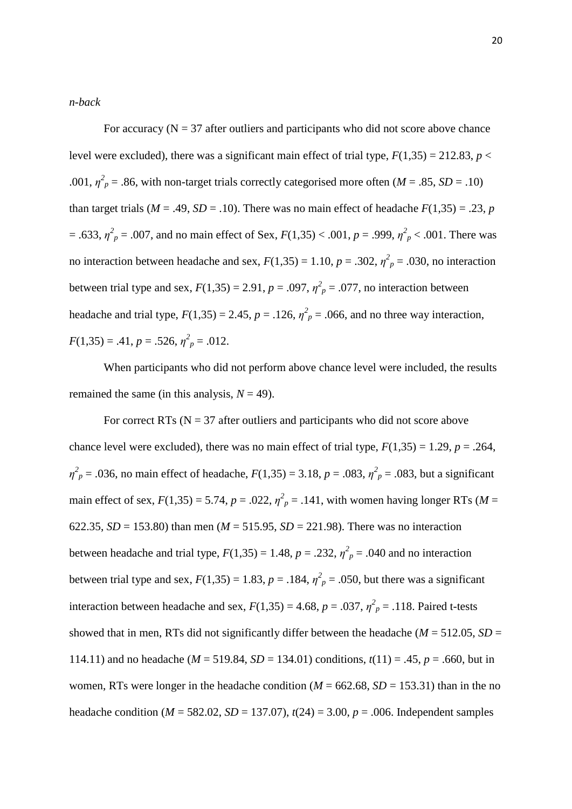#### *n-back*

For accuracy  $(N = 37)$  after outliers and participants who did not score above chance level were excluded), there was a significant main effect of trial type,  $F(1,35) = 212.83$ ,  $p <$ .001,  $\eta^2$ <sub>*p*</sub> = .86, with non-target trials correctly categorised more often (*M* = .85, *SD* = .10) than target trials ( $M = .49$ ,  $SD = .10$ ). There was no main effect of headache  $F(1,35) = .23$ , *p*  $=$  .633,  $\eta^2{}_p$  = .007, and no main effect of Sex,  $F(1,35)$  < .001,  $p$  = .999,  $\eta^2{}_p$  < .001. There was no interaction between headache and sex,  $F(1,35) = 1.10$ ,  $p = .302$ ,  $\eta^2_p = .030$ , no interaction between trial type and sex,  $F(1,35) = 2.91$ ,  $p = .097$ ,  $\eta^2 p = .077$ , no interaction between headache and trial type,  $F(1,35) = 2.45$ ,  $p = .126$ ,  $\eta_p^2 = .066$ , and no three way interaction,  $F(1,35) = .41, p = .526, \eta^2_p = .012.$ 

When participants who did not perform above chance level were included, the results remained the same (in this analysis,  $N = 49$ ).

For correct RTs ( $N = 37$  after outliers and participants who did not score above chance level were excluded), there was no main effect of trial type,  $F(1,35) = 1.29$ ,  $p = .264$ ,  $\eta^2 p = .036$ , no main effect of headache,  $F(1,35) = 3.18$ ,  $p = .083$ ,  $\eta^2 p = .083$ , but a significant main effect of sex,  $F(1,35) = 5.74$ ,  $p = .022$ ,  $\eta^2 p = .141$ , with women having longer RTs (*M* = 622.35,  $SD = 153.80$ ) than men ( $M = 515.95$ ,  $SD = 221.98$ ). There was no interaction between headache and trial type,  $F(1,35) = 1.48$ ,  $p = .232$ ,  $\eta^2_p = .040$  and no interaction between trial type and sex,  $F(1,35) = 1.83$ ,  $p = .184$ ,  $\eta^2 p = .050$ , but there was a significant interaction between headache and sex,  $F(1,35) = 4.68$ ,  $p = .037$ ,  $\eta^2_p = .118$ . Paired t-tests showed that in men, RTs did not significantly differ between the headache ( $M = 512.05$ ,  $SD =$ 114.11) and no headache ( $M = 519.84$ ,  $SD = 134.01$ ) conditions,  $t(11) = .45$ ,  $p = .660$ , but in women, RTs were longer in the headache condition ( $M = 662.68$ ,  $SD = 153.31$ ) than in the no headache condition (*M* = 582.02, *SD* = 137.07), *t*(24) = 3.00, *p* = .006. Independent samples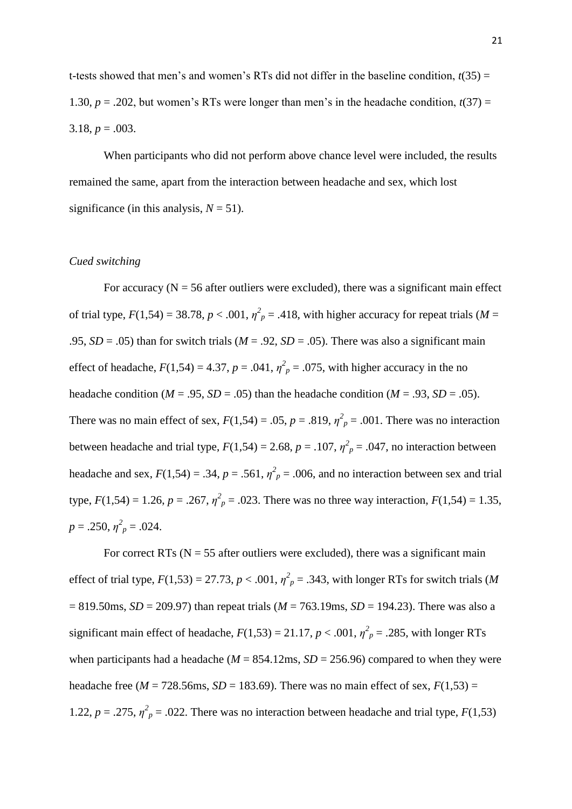t-tests showed that men's and women's RTs did not differ in the baseline condition,  $t(35)$  = 1.30,  $p = 0.202$ , but women's RTs were longer than men's in the headache condition,  $t(37) =$ 3.18,  $p = .003$ .

When participants who did not perform above chance level were included, the results remained the same, apart from the interaction between headache and sex, which lost significance (in this analysis,  $N = 51$ ).

#### *Cued switching*

For accuracy ( $N = 56$  after outliers were excluded), there was a significant main effect of trial type,  $F(1,54) = 38.78$ ,  $p < .001$ ,  $\eta_p^2 = .418$ , with higher accuracy for repeat trials (*M* = .95,  $SD = .05$ ) than for switch trials ( $M = .92$ ,  $SD = .05$ ). There was also a significant main effect of headache,  $F(1,54) = 4.37$ ,  $p = .041$ ,  $\eta^2_p = .075$ , with higher accuracy in the no headache condition ( $M = .95$ ,  $SD = .05$ ) than the headache condition ( $M = .93$ ,  $SD = .05$ ). There was no main effect of sex,  $F(1,54) = .05$ ,  $p = .819$ ,  $\eta^2 p = .001$ . There was no interaction between headache and trial type,  $F(1,54) = 2.68$ ,  $p = .107$ ,  $\eta^2_p = .047$ , no interaction between headache and sex,  $F(1,54) = .34$ ,  $p = .561$ ,  $\eta^2 p = .006$ , and no interaction between sex and trial type,  $F(1,54) = 1.26$ ,  $p = .267$ ,  $\eta^2 p = .023$ . There was no three way interaction,  $F(1,54) = 1.35$ ,  $p = .250, \eta^2_p = .024.$ 

For correct RTs ( $N = 55$  after outliers were excluded), there was a significant main effect of trial type,  $F(1,53) = 27.73$ ,  $p < .001$ ,  $\eta^2 p = .343$ , with longer RTs for switch trials (*M* = 819.50ms, *SD* = 209.97) than repeat trials (*M* = 763.19ms, *SD* = 194.23). There was also a significant main effect of headache,  $F(1,53) = 21.17$ ,  $p < .001$ ,  $\eta_p^2 = .285$ , with longer RTs when participants had a headache ( $M = 854.12$ ms,  $SD = 256.96$ ) compared to when they were headache free ( $M = 728.56$ ms,  $SD = 183.69$ ). There was no main effect of sex,  $F(1,53) =$ 1.22,  $p = 0.275$ ,  $\eta^2 = 0.022$ . There was no interaction between headache and trial type,  $F(1,53)$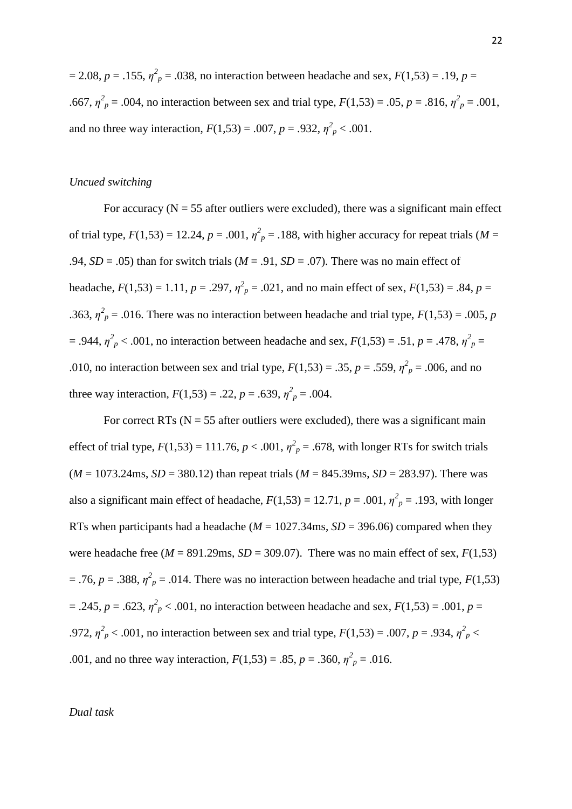$p = 2.08$ ,  $p = .155$ ,  $\eta^2$ <sub>p</sub> = .038, no interaction between headache and sex,  $F(1,53) = .19$ ,  $p =$ .667,  $\eta^2 p = .004$ , no interaction between sex and trial type,  $F(1,53) = .05$ ,  $p = .816$ ,  $\eta^2 p = .001$ , and no three way interaction,  $F(1,53) = .007$ ,  $p = .932$ ,  $\eta^2_{p} < .001$ .

#### *Uncued switching*

For accuracy ( $N = 55$  after outliers were excluded), there was a significant main effect of trial type,  $F(1,53) = 12.24$ ,  $p = .001$ ,  $\eta_p^2 = .188$ , with higher accuracy for repeat trials (*M* = .94,  $SD = .05$ ) than for switch trials ( $M = .91$ ,  $SD = .07$ ). There was no main effect of headache,  $F(1,53) = 1.11$ ,  $p = .297$ ,  $\eta_p^2 = .021$ , and no main effect of sex,  $F(1,53) = .84$ ,  $p =$ .363,  $\eta^2$ <sub>*p*</sub> = .016. There was no interaction between headache and trial type,  $F(1,53) = .005$ , *p*  $=$  .944,  $\eta^2{}_p$  < .001, no interaction between headache and sex,  $F(1,53) = .51$ ,  $p = .478$ ,  $\eta^2{}_p =$ .010, no interaction between sex and trial type,  $F(1,53) = .35$ ,  $p = .559$ ,  $\eta^2_p = .006$ , and no three way interaction,  $F(1,53) = .22$ ,  $p = .639$ ,  $\eta^2_p = .004$ .

For correct RTs ( $N = 55$  after outliers were excluded), there was a significant main effect of trial type,  $F(1,53) = 111.76$ ,  $p < .001$ ,  $\eta_p^2 = .678$ , with longer RTs for switch trials  $(M = 1073.24 \text{ms}, SD = 380.12)$  than repeat trials  $(M = 845.39 \text{ms}, SD = 283.97)$ . There was also a significant main effect of headache,  $F(1,53) = 12.71$ ,  $p = .001$ ,  $\eta^2_p = .193$ , with longer RTs when participants had a headache ( $M = 1027.34$ ms,  $SD = 396.06$ ) compared when they were headache free ( $M = 891.29$ ms,  $SD = 309.07$ ). There was no main effect of sex,  $F(1,53)$  $=$  .76,  $p = .388$ ,  $\eta^2$ <sub>p</sub> = .014. There was no interaction between headache and trial type, *F*(1,53)  $=$  .245,  $p = .623$ ,  $\eta^2$ <sub>p</sub> < .001, no interaction between headache and sex,  $F(1,53) = .001$ ,  $p =$ .972,  $\eta^2 p < .001$ , no interaction between sex and trial type,  $F(1,53) = .007$ ,  $p = .934$ ,  $\eta^2 p < .001$ .001, and no three way interaction,  $F(1,53) = .85$ ,  $p = .360$ ,  $\eta^2_p = .016$ .

*Dual task*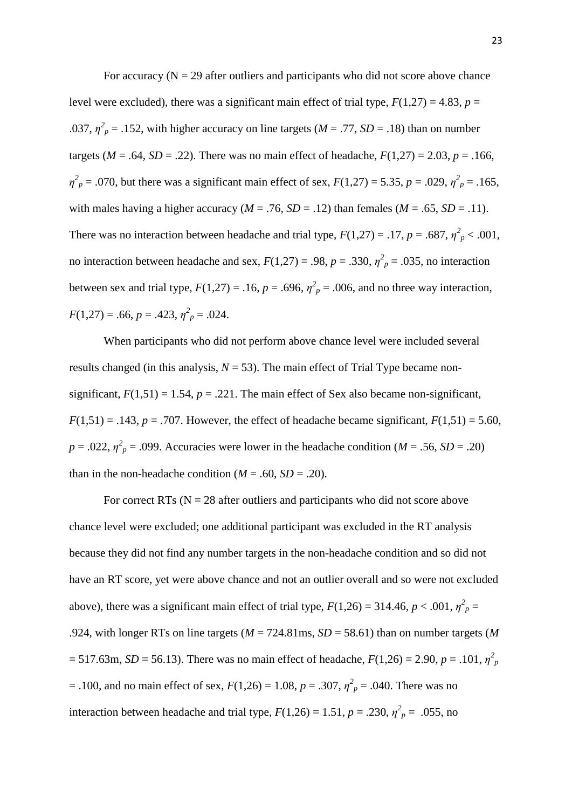For accuracy  $(N = 29$  after outliers and participants who did not score above chance level were excluded), there was a significant main effect of trial type,  $F(1,27) = 4.83$ ,  $p =$ .037,  $\eta_p^2$  = .152, with higher accuracy on line targets ( $M = .77$ ,  $SD = .18$ ) than on number targets ( $M = .64$ ,  $SD = .22$ ). There was no main effect of headache,  $F(1,27) = 2.03$ ,  $p = .166$ ,  $\eta_p^2 = .070$ , but there was a significant main effect of sex,  $F(1,27) = 5.35$ ,  $p = .029$ ,  $\eta_p^2 = .165$ , with males having a higher accuracy ( $M = .76$ ,  $SD = .12$ ) than females ( $M = .65$ ,  $SD = .11$ ). There was no interaction between headache and trial type,  $F(1,27) = .17$ ,  $p = .687$ ,  $\eta^2_{p} < .001$ , no interaction between headache and sex,  $F(1,27) = .98$ ,  $p = .330$ ,  $\eta^2_p = .035$ , no interaction between sex and trial type,  $F(1,27) = .16$ ,  $p = .696$ ,  $\eta^2 = .006$ , and no three way interaction,  $F(1,27) = .66, p = .423, \eta^2_p = .024.$ 

When participants who did not perform above chance level were included several results changed (in this analysis,  $N = 53$ ). The main effect of Trial Type became nonsignificant,  $F(1,51) = 1.54$ ,  $p = .221$ . The main effect of Sex also became non-significant,  $F(1,51) = .143$ ,  $p = .707$ . However, the effect of headache became significant,  $F(1,51) = 5.60$ ,  $p = .022$ ,  $\eta^2$ <sub>p</sub> = .099. Accuracies were lower in the headache condition (*M* = .56, *SD* = .20) than in the non-headache condition  $(M = .60, SD = .20)$ .

For correct RTs ( $N = 28$  after outliers and participants who did not score above chance level were excluded; one additional participant was excluded in the RT analysis because they did not find any number targets in the non-headache condition and so did not have an RT score, yet were above chance and not an outlier overall and so were not excluded above), there was a significant main effect of trial type,  $F(1,26) = 314.46$ ,  $p < .001$ ,  $\eta^2_p =$ .924, with longer RTs on line targets (*M* = 724.81ms, *SD* = 58.61) than on number targets (*M*  $= 517.63$ m, *SD* = 56.13). There was no main effect of headache,  $F(1,26) = 2.90$ ,  $p = .101$ ,  $\eta_p^2$ = .100, and no main effect of sex,  $F(1,26) = 1.08$ ,  $p = .307$ ,  $\eta^2_p = .040$ . There was no interaction between headache and trial type,  $F(1,26) = 1.51$ ,  $p = .230$ ,  $\eta_p^2 = .055$ , no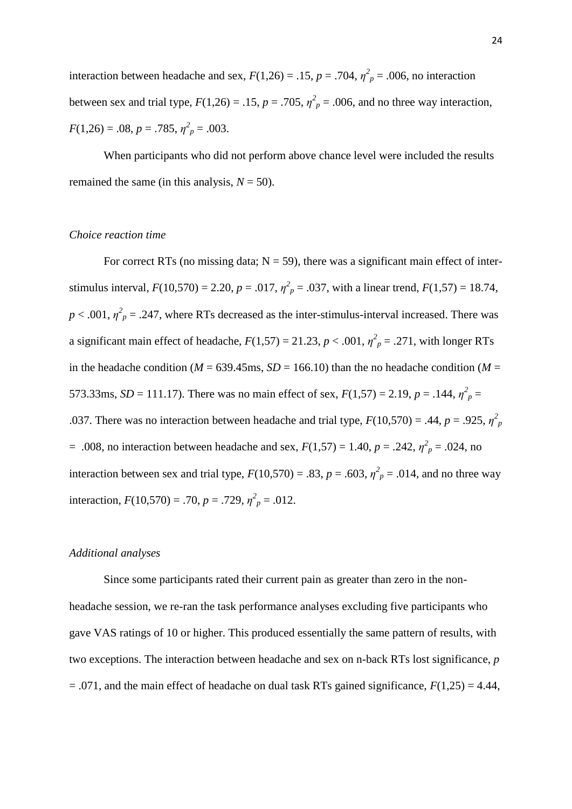interaction between headache and sex,  $F(1,26) = .15$ ,  $p = .704$ ,  $\eta^2_p = .006$ , no interaction between sex and trial type,  $F(1,26) = .15$ ,  $p = .705$ ,  $\eta^2_p = .006$ , and no three way interaction,  $F(1,26) = .08, p = .785, \eta^2_p = .003.$ 

When participants who did not perform above chance level were included the results remained the same (in this analysis,  $N = 50$ ).

#### *Choice reaction time*

For correct RTs (no missing data;  $N = 59$ ), there was a significant main effect of interstimulus interval,  $F(10,570) = 2.20$ ,  $p = .017$ ,  $\eta^2 = .037$ , with a linear trend,  $F(1,57) = 18.74$ ,  $p < .001$ ,  $\eta^2 p = .247$ , where RTs decreased as the inter-stimulus-interval increased. There was a significant main effect of headache,  $F(1,57) = 21.23$ ,  $p < .001$ ,  $\eta_p^2 = .271$ , with longer RTs in the headache condition ( $M = 639.45$ ms,  $SD = 166.10$ ) than the no headache condition ( $M =$ 573.33ms, *SD* = 111.17). There was no main effect of sex,  $F(1,57) = 2.19$ ,  $p = .144$ ,  $\eta^2_p =$ .037. There was no interaction between headache and trial type,  $F(10,570) = .44$ ,  $p = .925$ ,  $\eta_p^2$  $= .008$ , no interaction between headache and sex,  $F(1,57) = 1.40$ ,  $p = .242$ ,  $\eta^2_p = .024$ , no interaction between sex and trial type,  $F(10,570) = .83$ ,  $p = .603$ ,  $\eta^2_p = .014$ , and no three way interaction,  $F(10,570) = .70$ ,  $p = .729$ ,  $\eta_p^2 = .012$ .

#### *Additional analyses*

Since some participants rated their current pain as greater than zero in the nonheadache session, we re-ran the task performance analyses excluding five participants who gave VAS ratings of 10 or higher. This produced essentially the same pattern of results, with two exceptions. The interaction between headache and sex on n-back RTs lost significance, *p*  $= .071$ , and the main effect of headache on dual task RTs gained significance,  $F(1,25) = 4.44$ ,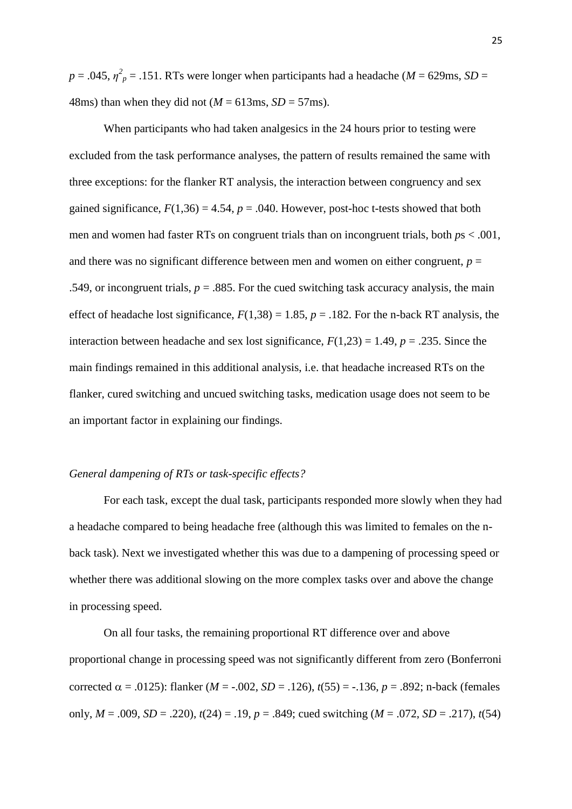$p = .045$ ,  $\eta^2$ <sub>*p*</sub> = .151. RTs were longer when participants had a headache (*M* = 629ms, *SD* = 48ms) than when they did not  $(M = 613 \text{ms}, SD = 57 \text{ms})$ .

When participants who had taken analgesics in the 24 hours prior to testing were excluded from the task performance analyses, the pattern of results remained the same with three exceptions: for the flanker RT analysis, the interaction between congruency and sex gained significance,  $F(1,36) = 4.54$ ,  $p = .040$ . However, post-hoc t-tests showed that both men and women had faster RTs on congruent trials than on incongruent trials, both *p*s < .001, and there was no significant difference between men and women on either congruent,  $p =$ .549, or incongruent trials,  $p = 0.885$ . For the cued switching task accuracy analysis, the main effect of headache lost significance,  $F(1,38) = 1.85$ ,  $p = .182$ . For the n-back RT analysis, the interaction between headache and sex lost significance,  $F(1,23) = 1.49$ ,  $p = .235$ . Since the main findings remained in this additional analysis, i.e. that headache increased RTs on the flanker, cured switching and uncued switching tasks, medication usage does not seem to be an important factor in explaining our findings.

# *General dampening of RTs or task-specific effects?*

For each task, except the dual task, participants responded more slowly when they had a headache compared to being headache free (although this was limited to females on the nback task). Next we investigated whether this was due to a dampening of processing speed or whether there was additional slowing on the more complex tasks over and above the change in processing speed.

On all four tasks, the remaining proportional RT difference over and above proportional change in processing speed was not significantly different from zero (Bonferroni corrected  $\alpha$  = .0125): flanker (*M* = -.002, *SD* = .126),  $t(55)$  = -.136,  $p = .892$ ; n-back (females only,  $M = .009$ ,  $SD = .220$ ),  $t(24) = .19$ ,  $p = .849$ ; cued switching  $(M = .072, SD = .217)$ ,  $t(54)$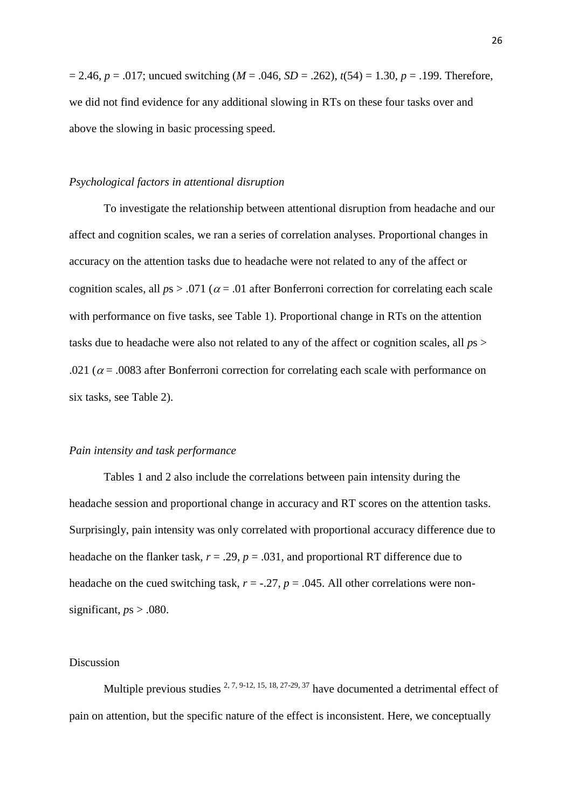$= 2.46$ ,  $p = .017$ ; uncued switching ( $M = .046$ ,  $SD = .262$ ),  $t(54) = 1.30$ ,  $p = .199$ . Therefore, we did not find evidence for any additional slowing in RTs on these four tasks over and above the slowing in basic processing speed.

#### *Psychological factors in attentional disruption*

To investigate the relationship between attentional disruption from headache and our affect and cognition scales, we ran a series of correlation analyses. Proportional changes in accuracy on the attention tasks due to headache were not related to any of the affect or cognition scales, all  $ps > .071$  ( $\alpha = .01$  after Bonferroni correction for correlating each scale with performance on five tasks, see Table 1). Proportional change in RTs on the attention tasks due to headache were also not related to any of the affect or cognition scales, all *p*s > .021 ( $\alpha$  = .0083 after Bonferroni correction for correlating each scale with performance on six tasks, see Table 2).

#### *Pain intensity and task performance*

Tables 1 and 2 also include the correlations between pain intensity during the headache session and proportional change in accuracy and RT scores on the attention tasks. Surprisingly, pain intensity was only correlated with proportional accuracy difference due to headache on the flanker task,  $r = .29$ ,  $p = .031$ , and proportional RT difference due to headache on the cued switching task,  $r = -.27$ ,  $p = .045$ . All other correlations were nonsignificant,  $p_s$  > .080.

#### Discussion

Multiple previous studies  $2, 7, 9-12, 15, 18, 27-29, 37$  have documented a detrimental effect of pain on attention, but the specific nature of the effect is inconsistent. Here, we conceptually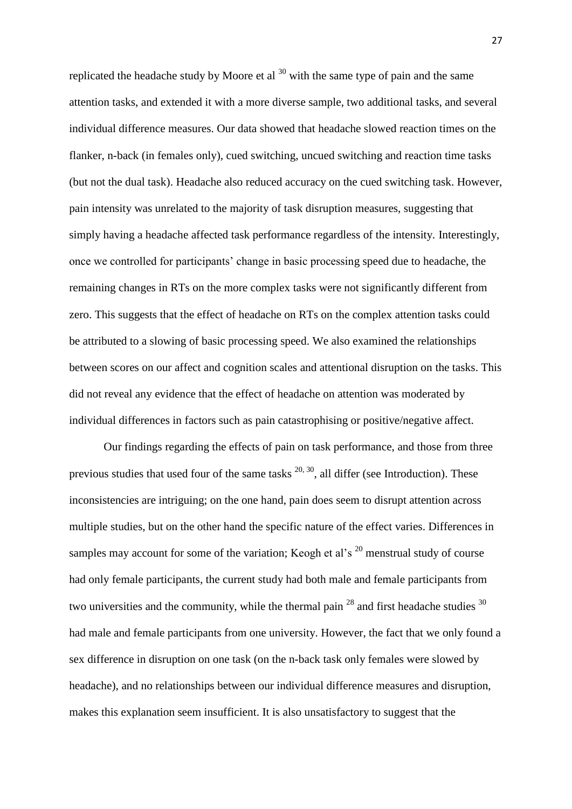replicated the headache study by Moore et al  $30$  with the same type of pain and the same attention tasks, and extended it with a more diverse sample, two additional tasks, and several individual difference measures. Our data showed that headache slowed reaction times on the flanker, n-back (in females only), cued switching, uncued switching and reaction time tasks (but not the dual task). Headache also reduced accuracy on the cued switching task. However, pain intensity was unrelated to the majority of task disruption measures, suggesting that simply having a headache affected task performance regardless of the intensity. Interestingly, once we controlled for participants' change in basic processing speed due to headache, the remaining changes in RTs on the more complex tasks were not significantly different from zero. This suggests that the effect of headache on RTs on the complex attention tasks could be attributed to a slowing of basic processing speed. We also examined the relationships between scores on our affect and cognition scales and attentional disruption on the tasks. This did not reveal any evidence that the effect of headache on attention was moderated by individual differences in factors such as pain catastrophising or positive/negative affect.

Our findings regarding the effects of pain on task performance, and those from three previous studies that used four of the same tasks  $^{20, 30}$ , all differ (see Introduction). These inconsistencies are intriguing; on the one hand, pain does seem to disrupt attention across multiple studies, but on the other hand the specific nature of the effect varies. Differences in samples may account for some of the variation; Keogh et al's  $^{20}$  menstrual study of course had only female participants, the current study had both male and female participants from two universities and the community, while the thermal pain  $^{28}$  and first headache studies  $^{30}$ had male and female participants from one university. However, the fact that we only found a sex difference in disruption on one task (on the n-back task only females were slowed by headache), and no relationships between our individual difference measures and disruption, makes this explanation seem insufficient. It is also unsatisfactory to suggest that the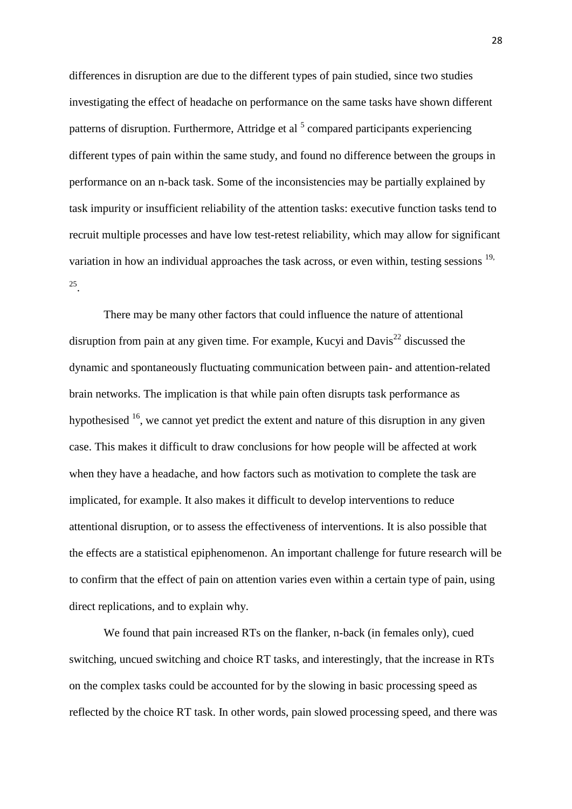differences in disruption are due to the different types of pain studied, since two studies investigating the effect of headache on performance on the same tasks have shown different patterns of disruption. Furthermore, Attridge et al <sup>5</sup> compared participants experiencing different types of pain within the same study, and found no difference between the groups in performance on an n-back task. Some of the inconsistencies may be partially explained by task impurity or insufficient reliability of the attention tasks: executive function tasks tend to recruit multiple processes and have low test-retest reliability, which may allow for significant variation in how an individual approaches the task across, or even within, testing sessions  $19$ , 25 .

There may be many other factors that could influence the nature of attentional disruption from pain at any given time. For example, Kucyi and Davis<sup>22</sup> discussed the dynamic and spontaneously fluctuating communication between pain- and attention-related brain networks. The implication is that while pain often disrupts task performance as hypothesised  $16$ , we cannot yet predict the extent and nature of this disruption in any given case. This makes it difficult to draw conclusions for how people will be affected at work when they have a headache, and how factors such as motivation to complete the task are implicated, for example. It also makes it difficult to develop interventions to reduce attentional disruption, or to assess the effectiveness of interventions. It is also possible that the effects are a statistical epiphenomenon. An important challenge for future research will be to confirm that the effect of pain on attention varies even within a certain type of pain, using direct replications, and to explain why.

We found that pain increased RTs on the flanker, n-back (in females only), cued switching, uncued switching and choice RT tasks, and interestingly, that the increase in RTs on the complex tasks could be accounted for by the slowing in basic processing speed as reflected by the choice RT task. In other words, pain slowed processing speed, and there was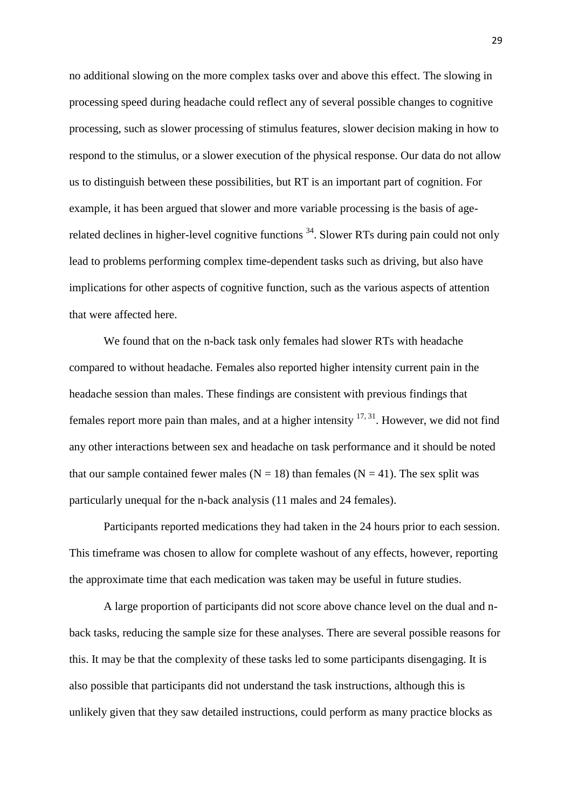no additional slowing on the more complex tasks over and above this effect. The slowing in processing speed during headache could reflect any of several possible changes to cognitive processing, such as slower processing of stimulus features, slower decision making in how to respond to the stimulus, or a slower execution of the physical response. Our data do not allow us to distinguish between these possibilities, but RT is an important part of cognition. For example, it has been argued that slower and more variable processing is the basis of agerelated declines in higher-level cognitive functions <sup>34</sup>. Slower RTs during pain could not only lead to problems performing complex time-dependent tasks such as driving, but also have implications for other aspects of cognitive function, such as the various aspects of attention that were affected here.

We found that on the n-back task only females had slower RTs with headache compared to without headache. Females also reported higher intensity current pain in the headache session than males. These findings are consistent with previous findings that females report more pain than males, and at a higher intensity  $17,31$ . However, we did not find any other interactions between sex and headache on task performance and it should be noted that our sample contained fewer males ( $N = 18$ ) than females ( $N = 41$ ). The sex split was particularly unequal for the n-back analysis (11 males and 24 females).

Participants reported medications they had taken in the 24 hours prior to each session. This timeframe was chosen to allow for complete washout of any effects, however, reporting the approximate time that each medication was taken may be useful in future studies.

A large proportion of participants did not score above chance level on the dual and nback tasks, reducing the sample size for these analyses. There are several possible reasons for this. It may be that the complexity of these tasks led to some participants disengaging. It is also possible that participants did not understand the task instructions, although this is unlikely given that they saw detailed instructions, could perform as many practice blocks as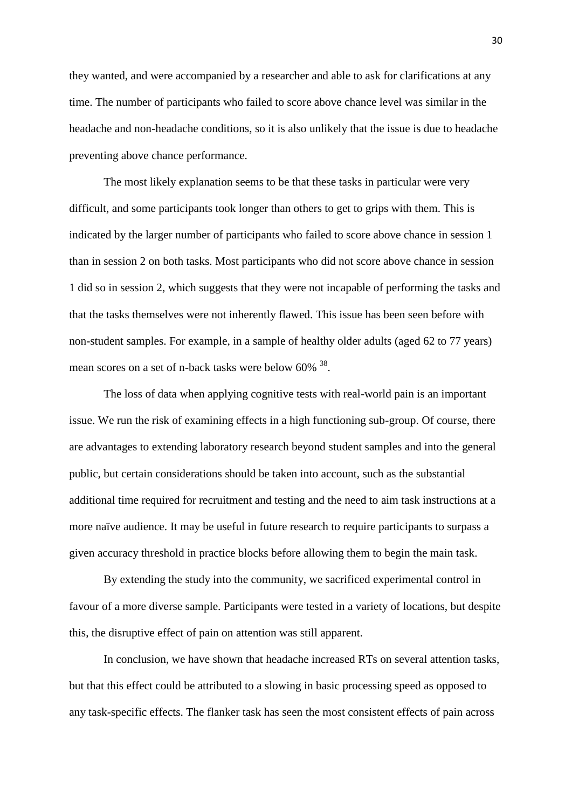they wanted, and were accompanied by a researcher and able to ask for clarifications at any time. The number of participants who failed to score above chance level was similar in the headache and non-headache conditions, so it is also unlikely that the issue is due to headache preventing above chance performance.

The most likely explanation seems to be that these tasks in particular were very difficult, and some participants took longer than others to get to grips with them. This is indicated by the larger number of participants who failed to score above chance in session 1 than in session 2 on both tasks. Most participants who did not score above chance in session 1 did so in session 2, which suggests that they were not incapable of performing the tasks and that the tasks themselves were not inherently flawed. This issue has been seen before with non-student samples. For example, in a sample of healthy older adults (aged 62 to 77 years) mean scores on a set of n-back tasks were below  $60\%$ <sup>38</sup>.

The loss of data when applying cognitive tests with real-world pain is an important issue. We run the risk of examining effects in a high functioning sub-group. Of course, there are advantages to extending laboratory research beyond student samples and into the general public, but certain considerations should be taken into account, such as the substantial additional time required for recruitment and testing and the need to aim task instructions at a more naïve audience. It may be useful in future research to require participants to surpass a given accuracy threshold in practice blocks before allowing them to begin the main task.

By extending the study into the community, we sacrificed experimental control in favour of a more diverse sample. Participants were tested in a variety of locations, but despite this, the disruptive effect of pain on attention was still apparent.

In conclusion, we have shown that headache increased RTs on several attention tasks, but that this effect could be attributed to a slowing in basic processing speed as opposed to any task-specific effects. The flanker task has seen the most consistent effects of pain across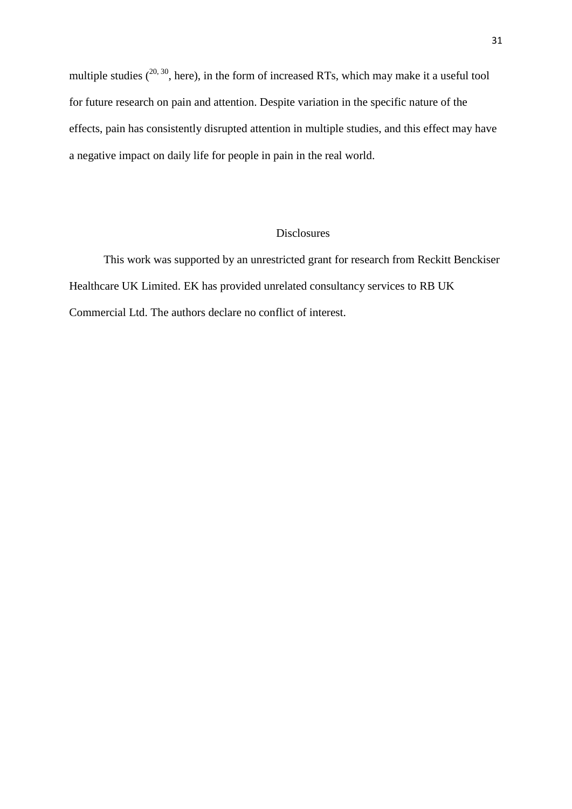multiple studies  $(20, 30)$ , here), in the form of increased RTs, which may make it a useful tool for future research on pain and attention. Despite variation in the specific nature of the effects, pain has consistently disrupted attention in multiple studies, and this effect may have a negative impact on daily life for people in pain in the real world.

#### Disclosures

This work was supported by an unrestricted grant for research from Reckitt Benckiser Healthcare UK Limited. EK has provided unrelated consultancy services to RB UK Commercial Ltd. The authors declare no conflict of interest.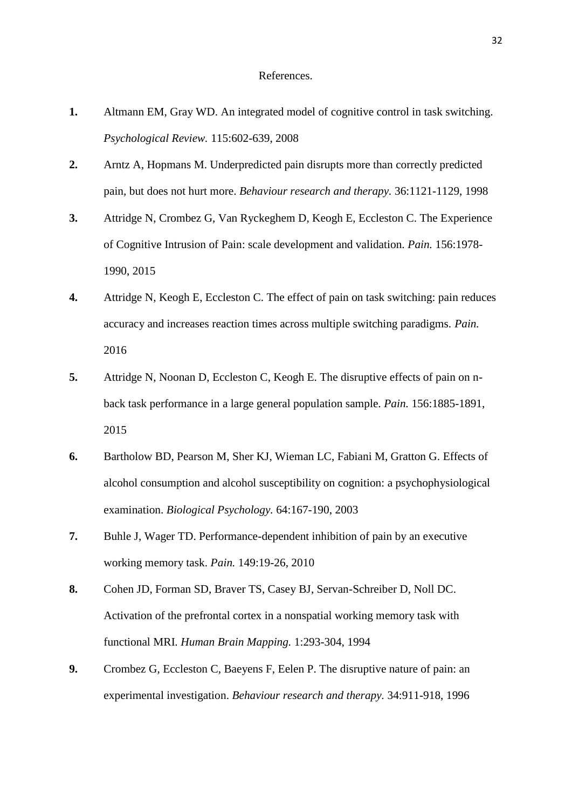- **1.** Altmann EM, Gray WD. An integrated model of cognitive control in task switching. *Psychological Review.* 115:602-639, 2008
- **2.** Arntz A, Hopmans M. Underpredicted pain disrupts more than correctly predicted pain, but does not hurt more. *Behaviour research and therapy.* 36:1121-1129, 1998
- **3.** Attridge N, Crombez G, Van Ryckeghem D, Keogh E, Eccleston C. The Experience of Cognitive Intrusion of Pain: scale development and validation. *Pain.* 156:1978- 1990, 2015
- **4.** Attridge N, Keogh E, Eccleston C. The effect of pain on task switching: pain reduces accuracy and increases reaction times across multiple switching paradigms. *Pain.* 2016
- **5.** Attridge N, Noonan D, Eccleston C, Keogh E. The disruptive effects of pain on nback task performance in a large general population sample. *Pain.* 156:1885-1891, 2015
- **6.** Bartholow BD, Pearson M, Sher KJ, Wieman LC, Fabiani M, Gratton G. Effects of alcohol consumption and alcohol susceptibility on cognition: a psychophysiological examination. *Biological Psychology.* 64:167-190, 2003
- **7.** Buhle J, Wager TD. Performance-dependent inhibition of pain by an executive working memory task. *Pain.* 149:19-26, 2010
- **8.** Cohen JD, Forman SD, Braver TS, Casey BJ, Servan-Schreiber D, Noll DC. Activation of the prefrontal cortex in a nonspatial working memory task with functional MRI. *Human Brain Mapping.* 1:293-304, 1994
- **9.** Crombez G, Eccleston C, Baeyens F, Eelen P. The disruptive nature of pain: an experimental investigation. *Behaviour research and therapy.* 34:911-918, 1996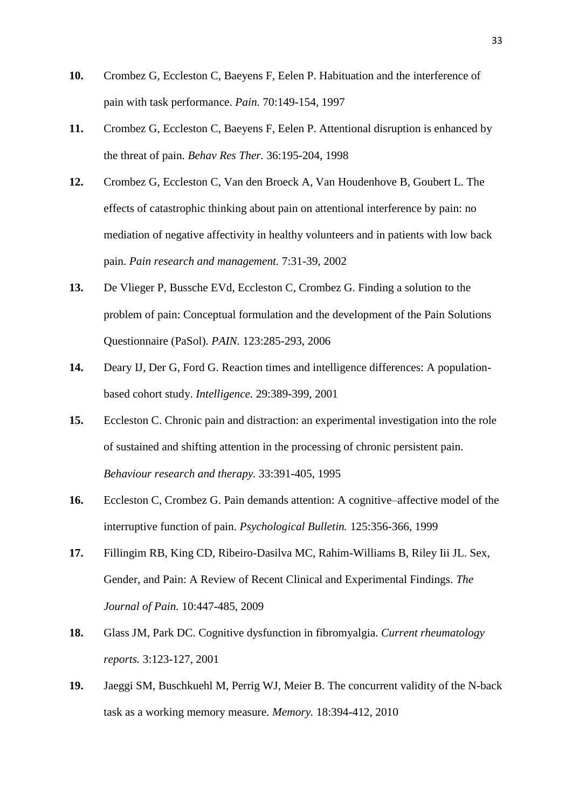- **10.** Crombez G, Eccleston C, Baeyens F, Eelen P. Habituation and the interference of pain with task performance. *Pain.* 70:149-154, 1997
- **11.** Crombez G, Eccleston C, Baeyens F, Eelen P. Attentional disruption is enhanced by the threat of pain. *Behav Res Ther.* 36:195-204, 1998
- **12.** Crombez G, Eccleston C, Van den Broeck A, Van Houdenhove B, Goubert L. The effects of catastrophic thinking about pain on attentional interference by pain: no mediation of negative affectivity in healthy volunteers and in patients with low back pain. *Pain research and management.* 7:31-39, 2002
- **13.** De Vlieger P, Bussche EVd, Eccleston C, Crombez G. Finding a solution to the problem of pain: Conceptual formulation and the development of the Pain Solutions Questionnaire (PaSol). *PAIN.* 123:285-293, 2006
- **14.** Deary IJ, Der G, Ford G. Reaction times and intelligence differences: A populationbased cohort study. *Intelligence.* 29:389-399, 2001
- **15.** Eccleston C. Chronic pain and distraction: an experimental investigation into the role of sustained and shifting attention in the processing of chronic persistent pain. *Behaviour research and therapy.* 33:391-405, 1995
- **16.** Eccleston C, Crombez G. Pain demands attention: A cognitive–affective model of the interruptive function of pain. *Psychological Bulletin.* 125:356-366, 1999
- **17.** Fillingim RB, King CD, Ribeiro-Dasilva MC, Rahim-Williams B, Riley Iii JL. Sex, Gender, and Pain: A Review of Recent Clinical and Experimental Findings. *The Journal of Pain.* 10:447-485, 2009
- **18.** Glass JM, Park DC. Cognitive dysfunction in fibromyalgia. *Current rheumatology reports.* 3:123-127, 2001
- **19.** Jaeggi SM, Buschkuehl M, Perrig WJ, Meier B. The concurrent validity of the N-back task as a working memory measure. *Memory.* 18:394-412, 2010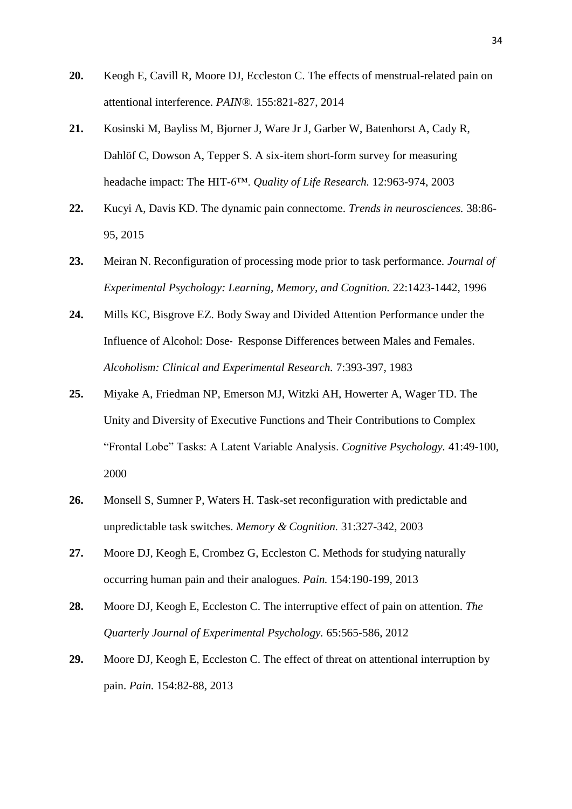- **20.** Keogh E, Cavill R, Moore DJ, Eccleston C. The effects of menstrual-related pain on attentional interference. *PAIN®.* 155:821-827, 2014
- **21.** Kosinski M, Bayliss M, Bjorner J, Ware Jr J, Garber W, Batenhorst A, Cady R, Dahlöf C, Dowson A, Tepper S. A six-item short-form survey for measuring headache impact: The HIT-6™. *Quality of Life Research.* 12:963-974, 2003
- **22.** Kucyi A, Davis KD. The dynamic pain connectome. *Trends in neurosciences.* 38:86- 95, 2015
- **23.** Meiran N. Reconfiguration of processing mode prior to task performance. *Journal of Experimental Psychology: Learning, Memory, and Cognition.* 22:1423-1442, 1996
- **24.** Mills KC, Bisgrove EZ. Body Sway and Divided Attention Performance under the Influence of Alcohol: Dose‐ Response Differences between Males and Females. *Alcoholism: Clinical and Experimental Research.* 7:393-397, 1983
- **25.** Miyake A, Friedman NP, Emerson MJ, Witzki AH, Howerter A, Wager TD. The Unity and Diversity of Executive Functions and Their Contributions to Complex "Frontal Lobe" Tasks: A Latent Variable Analysis. *Cognitive Psychology.* 41:49-100, 2000
- **26.** Monsell S, Sumner P, Waters H. Task-set reconfiguration with predictable and unpredictable task switches. *Memory & Cognition.* 31:327-342, 2003
- **27.** Moore DJ, Keogh E, Crombez G, Eccleston C. Methods for studying naturally occurring human pain and their analogues. *Pain.* 154:190-199, 2013
- **28.** Moore DJ, Keogh E, Eccleston C. The interruptive effect of pain on attention. *The Quarterly Journal of Experimental Psychology.* 65:565-586, 2012
- **29.** Moore DJ, Keogh E, Eccleston C. The effect of threat on attentional interruption by pain. *Pain.* 154:82-88, 2013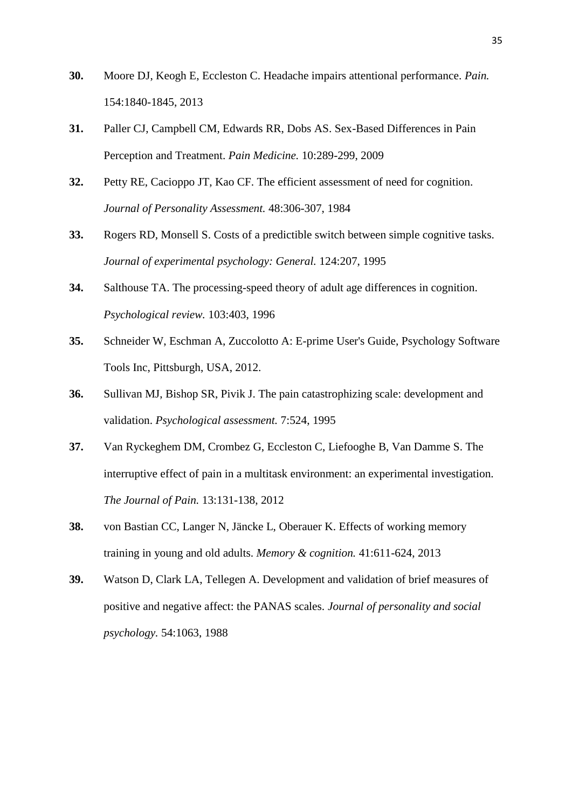- **30.** Moore DJ, Keogh E, Eccleston C. Headache impairs attentional performance. *Pain.* 154:1840-1845, 2013
- **31.** Paller CJ, Campbell CM, Edwards RR, Dobs AS. Sex-Based Differences in Pain Perception and Treatment. *Pain Medicine.* 10:289-299, 2009
- **32.** Petty RE, Cacioppo JT, Kao CF. The efficient assessment of need for cognition. *Journal of Personality Assessment.* 48:306-307, 1984
- **33.** Rogers RD, Monsell S. Costs of a predictible switch between simple cognitive tasks. *Journal of experimental psychology: General.* 124:207, 1995
- **34.** Salthouse TA. The processing-speed theory of adult age differences in cognition. *Psychological review.* 103:403, 1996
- **35.** Schneider W, Eschman A, Zuccolotto A: E-prime User's Guide, Psychology Software Tools Inc, Pittsburgh, USA, 2012.
- **36.** Sullivan MJ, Bishop SR, Pivik J. The pain catastrophizing scale: development and validation. *Psychological assessment.* 7:524, 1995
- **37.** Van Ryckeghem DM, Crombez G, Eccleston C, Liefooghe B, Van Damme S. The interruptive effect of pain in a multitask environment: an experimental investigation. *The Journal of Pain.* 13:131-138, 2012
- **38.** von Bastian CC, Langer N, Jäncke L, Oberauer K. Effects of working memory training in young and old adults. *Memory & cognition.* 41:611-624, 2013
- **39.** Watson D, Clark LA, Tellegen A. Development and validation of brief measures of positive and negative affect: the PANAS scales. *Journal of personality and social psychology.* 54:1063, 1988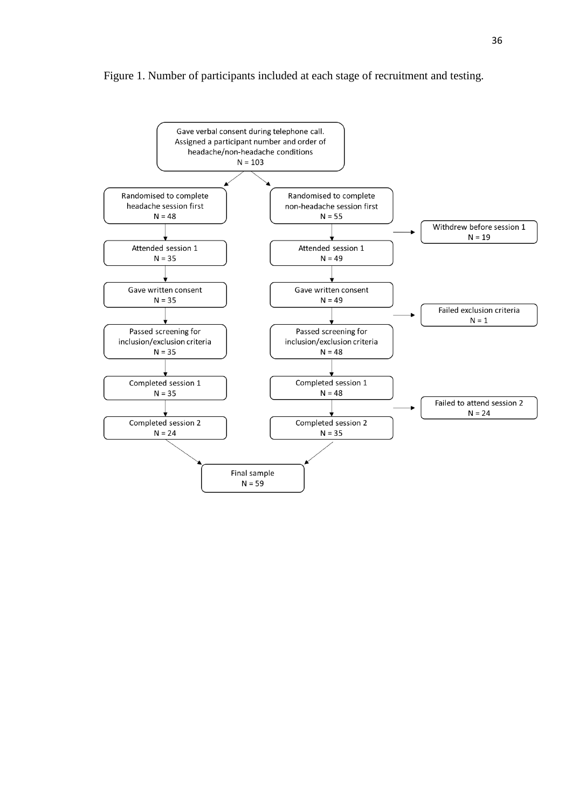#### Figure 1. Number of participants included at each stage of recruitment and testing.

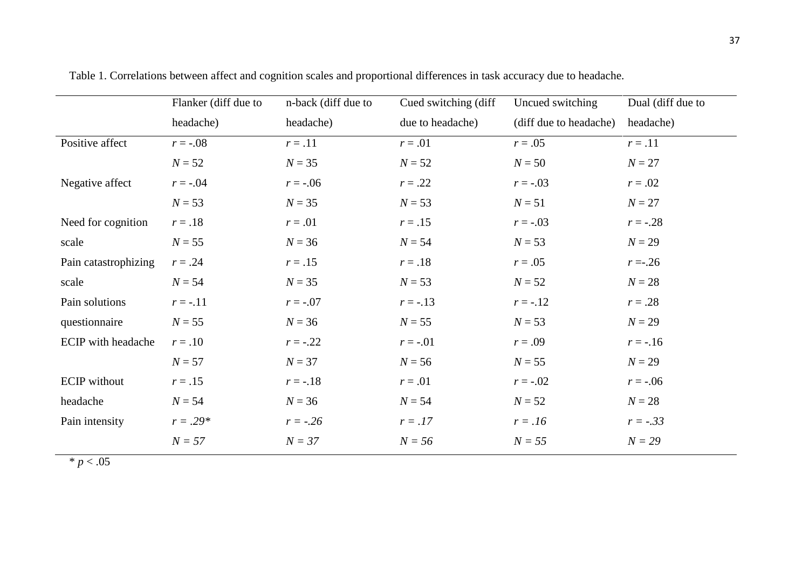|                           | Flanker (diff due to | n-back (diff due to | Cued switching (diff | Uncued switching       | Dual (diff due to |  |
|---------------------------|----------------------|---------------------|----------------------|------------------------|-------------------|--|
|                           | headache)            | headache)           | due to headache)     | (diff due to headache) | headache)         |  |
| Positive affect           | $r = -.08$           | $r=.11$             | $r = .01$            | $r = .05$              | $r=.11$           |  |
|                           | $N = 52$             | $N = 35$            | $N = 52$             | $N = 50$               | $N = 27$          |  |
| Negative affect           | $r = -.04$           | $r = -.06$          | $r = .22$            | $r = -.03$             | $r = .02$         |  |
|                           | $N = 53$             | $N = 35$            | $N = 53$             | $N = 51$               | $N = 27$          |  |
| Need for cognition        | $r=.18$              | $r=.01$             | $r = .15$            | $r = -.03$             | $r = -.28$        |  |
| scale                     | $N = 55$             | $N = 36$            | $N = 54$             | $N = 53$               | $N = 29$          |  |
| Pain catastrophizing      | $r = .24$            | $r = .15$           | $r=.18$              | $r = .05$              | $r = -26$         |  |
| scale                     | $N = 54$             | $N = 35$            | $N = 53$             | $N = 52$               | $N = 28$          |  |
| Pain solutions            | $r = -.11$           | $r = -.07$          | $r = -0.13$          | $r = -0.12$            | $r=.28$           |  |
| questionnaire             | $N = 55$             | $N = 36$            | $N = 55$             | $N = 53$               | $N = 29$          |  |
| <b>ECIP</b> with headache | $r=.10$              | $r = -.22$          | $r = -01$            | $r = .09$              | $r = -0.16$       |  |
|                           | $N = 57$             | $N = 37$            | $N = 56$             | $N = 55$               | $N = 29$          |  |
| <b>ECIP</b> without       | $r=.15$              | $r = -.18$          | $r=.01$              | $r = -.02$             | $r = -.06$        |  |
| headache                  | $N = 54$             | $N = 36$            | $N = 54$             | $N = 52$               | $N = 28$          |  |
| Pain intensity            | $r = .29*$           | $r = -.26$          | $r = .17$            | $r = .16$              | $r = -.33$        |  |
|                           | $N = 57$             | $N = 37$            | $N = 56$             | $N = 55$               | $N = 29$          |  |

Table 1. Correlations between affect and cognition scales and proportional differences in task accuracy due to headache.

 $* p < .05$